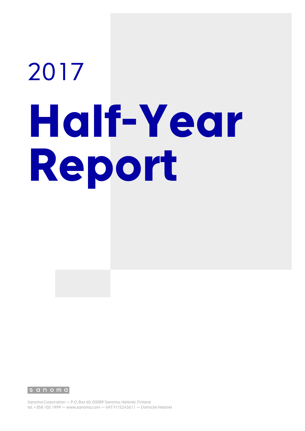# 2017 **Half-Year Report**

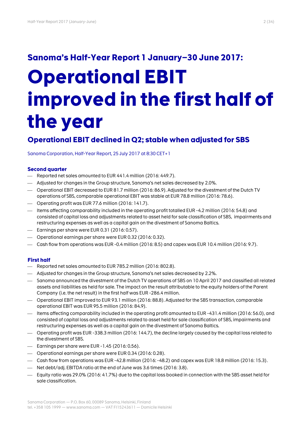# **Sanoma's Half-Year Report 1 January–30 June 2017:**

# **Operational EBIT improved in the first half of the year**

## **Operational EBIT declined in Q2; stable when adjusted for SBS**

Sanoma Corporation, Half-Year Report, 25 July 2017 at 8:30 CET+1

#### **Second quarter**

- Reported net sales amounted to EUR 441.4 million (2016: 449.7).
- Adjusted for changes in the Group structure, Sanoma's net sales decreased by 2.0%.
- Operational EBIT decreased to EUR 81.7 million (2016: 86.9). Adjusted for the divestment of the Dutch TV operations of SBS, comparable operational EBIT was stable at EUR 78.8 million (2016: 78.6).
- $\sim$  Operating profit was EUR 77.6 million (2016: 141.7).
- Items affecting comparability included in the operating profit totalled EUR -4.2 million (2016: 54.8) and consisted of capital loss and adjustments related to asset held for sale classification of SBS, impairments and restructuring expenses as well as a capital gain on the divestment of Sanoma Baltics.
- $-$  Earnings per share were EUR 0.31 (2016: 0.57).
- Operational earnings per share were EUR 0.32 (2016: 0.32).
- Cash flow from operations was EUR -0.4 million (2016: 8.5) and capex was EUR 10.4 million (2016: 9.7).

#### **First half**

- Reported net sales amounted to EUR 785.2 million (2016: 802.8).
- Adjusted for changes in the Group structure, Sanoma's net sales decreased by 2.2%.
- Sanoma announced the divestment of the Dutch TV operations of SBS on 10 April 2017 and classified all related assets and liabilities as held for sale. The impact on the result attributable to the equity holders of the Parent Company (i.e. the net result) in the first half was EUR -286.4 million.
- Operational EBIT improved to EUR 93.1 million (2016: 88.8). Adjusted for the SBS transaction, comparable operational EBIT was EUR 95.5 million (2016: 84.9).
- Items affecting comparability included in the operating profit amounted to EUR -431.4 million (2016: 56.0), and consisted of capital loss and adjustments related to asset held for sale classification of SBS, impairments and restructuring expenses as well as a capital gain on the divestment of Sanoma Baltics.
- Operating profit was EUR -338.3 million (2016: 144.7), the decline largely caused by the capital loss related to the divestment of SBS.
- $-$  Earnings per share were EUR 1.45 (2016: 0.56).
- Operational earnings per share were EUR 0.34 (2016: 0.28).
- Cash flow from operations was EUR -42.8 million (2016: -48.2) and capex was EUR 18.8 million (2016: 15.3).
- Net debt/adj. EBITDA ratio at the end of June was 3.6 times (2016: 3.8).
- Equity ratio was 29.0% (2016: 41.7%) due to the capital loss booked in connection with the SBS asset held for sale classification.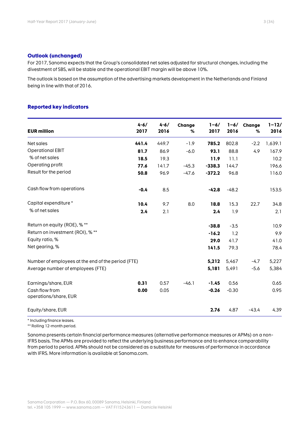#### **Outlook (unchanged)**

For 2017, Sanoma expects that the Group's consolidated net sales adjusted for structural changes, including the divestment of SBS, will be stable and the operational EBIT margin will be above 10%.

The outlook is based on the assumption of the advertising markets development in the Netherlands and Finland being in line with that of 2016.

#### **Reported key indicators**

| <b>EUR million</b>                                 | $4 - 6/$<br>2017 | $4 - 6/$<br>2016 | Change<br>% | $1 - 6/$<br>2017 | $1 - 6/$<br>2016 | Change<br>% | $1 - 12/$<br>2016 |
|----------------------------------------------------|------------------|------------------|-------------|------------------|------------------|-------------|-------------------|
| Net sales                                          | 441.4            | 449.7            | $-1.9$      | 785.2            | 802.8            | $-2.2$      | 1,639.1           |
| Operational EBIT                                   | 81.7             | 86.9             | $-6.0$      | 93.1             | 88.8             | 4.9         | 167.9             |
| % of net sales                                     | 18.5             | 19.3             |             | 11.9             | 11.1             |             | 10.2              |
| Operating profit                                   | 77.6             | 141.7            | $-45.3$     | $-338.3$         | 144.7            |             | 196.6             |
| Result for the period                              | 50.8             | 96.9             | $-47.6$     | $-372.2$         | 96.8             |             | 116.0             |
| Cash flow from operations                          | $-0.4$           | 8.5              |             | $-42.8$          | $-48.2$          |             | 153.5             |
| Capital expenditure *                              | 10.4             | 9.7              | 8.0         | 18.8             | 15.3             | 22.7        | 34.8              |
| % of net sales                                     | 2.4              | 2.1              |             | 2.4              | 1.9              |             | 2.1               |
| Return on equity (ROE), % **                       |                  |                  |             | $-38.8$          | $-3.5$           |             | 10.9              |
| Return on investment (ROI), % **                   |                  |                  |             | $-16.2$          | 1.2              |             | 9.9               |
| Equity ratio, %                                    |                  |                  |             | 29.0             | 41.7             |             | 41.0              |
| Net gearing, %                                     |                  |                  |             | 141.5            | 79.3             |             | 78.4              |
| Number of employees at the end of the period (FTE) |                  |                  |             | 5,212            | 5,467            | $-4.7$      | 5,227             |
| Average number of employees (FTE)                  |                  |                  |             | 5,181            | 5,491            | $-5.6$      | 5,384             |
| Earnings/share, EUR                                | 0.31             | 0.57             | $-46.1$     | $-1.45$          | 0.56             |             | 0.65              |
| Cash flow from<br>operations/share, EUR            | 0.00             | 0.05             |             | $-0.26$          | $-0.30$          |             | 0.95              |
| Equity/share, EUR                                  |                  |                  |             | 2.76             | 4.87             | $-43.4$     | 4.39              |

\* Including finance leases.

\*\* Rolling 12-month period.

Sanoma presents certain financial performance measures (alternative performance measures or APMs) on a non-IFRS basis. The APMs are provided to reflect the underlying business performance and to enhance comparability from period to period. APMs should not be considered as a substitute for measures of performance in accordance with IFRS. More information is available at Sanoma.com.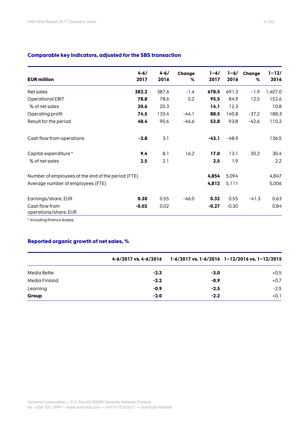| <b>EUR million</b>                                 | $4 - 6/$<br>2017 | $4 - 6/$<br>2016 | Change<br>% | $1 - 6/$<br>2017 | $1 - 6/$<br>2016 | Change<br>% | $1 - 12/$<br>2016 |
|----------------------------------------------------|------------------|------------------|-------------|------------------|------------------|-------------|-------------------|
| Net sales                                          | 382.2            | 387.6            | $-1.4$      | 678.5            | 691.3            | $-1.9$      | 1,407.0           |
| <b>Operational EBIT</b>                            | 78.8             | 78.6             | 0.2         | 95.5             | 84.9             | 12.5        | 152.6             |
| % of net sales                                     | 20.6             | 20.3             |             | 14.1             | 12.3             |             | 10.8              |
| Operating profit                                   | 74.5             | 133.4            | $-44.1$     | 88.5             | 140.8            | $-37.2$     | 188.3             |
| Result for the period                              | 48.4             | 90.6             | $-46.6$     | 53.8             | 93.8             | $-42.6$     | 110.2             |
| Cash flow from operations                          | $-2.8$           | 3.1              |             | $-43.1$          | $-48.9$          |             | 136.5             |
| Capital expenditure *                              | 9.4              | 8.1              | 16.2        | 17.0             | 13.1             | 30.2        | 30.4              |
| % of net sales                                     | 2.5              | 2.1              |             | 2.5              | 1.9              |             | 2.2               |
| Number of employees at the end of the period (FTE) |                  |                  |             | 4,854            | 5,094            |             | 4,847             |
| Average number of employees (FTE)                  |                  |                  |             | 4,812            | 5,111            |             | 5,006             |
| Earnings/share, EUR                                | 0.30             | 0.55             | $-46.0$     | 0.32             | 0.55             | $-41.3$     | 0.63              |
| Cash flow from<br>operations/share, EUR            | $-0.02$          | 0.02             |             | $-0.27$          | $-0.30$          |             | 0.84              |

**Comparable key indicators, adjusted for the SBS transaction**

\* Including finance leases.

#### **Reported organic growth of net sales, %**

|               | 4-6/2017 vs. 4-6/2016 |        | 1-6/2017 vs. 1-6/2016 1-12/2016 vs. 1-12/2015 |
|---------------|-----------------------|--------|-----------------------------------------------|
| Media BeNe    | $-2.3$                | $-3.0$ | $+0.5$                                        |
| Media Finland | $-2.2$                | $-0.9$ | $+0.7$                                        |
| Learning      | $-0.9$                | $-2.5$ | $-2.5$                                        |
| Group         | $-2.0$                | $-2.2$ | $+0.1$                                        |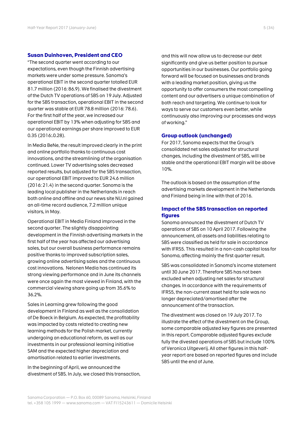#### **Susan Duinhoven, President and CEO**

"The second quarter went according to our expectations, even though the Finnish advertising markets were under some pressure. Sanoma's operational EBIT in the second quarter totalled EUR 81.7 million (2016: 86.9). We finalised the divestment of the Dutch TV operations of SBS on 19 July. Adjusted for the SBS transaction, operational EBIT in the second quarter was stable at EUR 78.8 million (2016: 78.6). For the first half of the year, we increased our operational EBIT by 13% when adjusting for SBS and our operational earnings per share improved to EUR 0.35 (2016:.0.28).

In Media BeNe, the result improved clearly in the print and online portfolio thanks to continuous cost innovations, and the streamlining of the organisation continued. Lower TV advertising sales decreased reported results, but adjusted for the SBS transaction, our operational EBIT improved to EUR 24.6 million (2016: 21.4) in the second quarter. Sanoma is the leading local publisher in the Netherlands in reach both online and offline and our news site NU.nl gained an all-time record audience, 7.2 million unique visitors, in May.

Operational EBIT in Media Finland improved in the second quarter. The slightly disappointing development in the Finnish advertising markets in the first half of the year has affected our advertising sales, but our overall business performance remains positive thanks to improved subscription sales, growing online advertising sales and the continuous cost innovations. Nelonen Media has continued its strong viewing performance and in June its channels were once again the most viewed in Finland, with the commercial viewing share going up from 35.6% to 36.2%.

Sales in Learning grew following the good development in Finland as well as the consolidation of De Boeck in Belgium. As expected, the profitability was impacted by costs related to creating new learning methods for the Polish market, currently undergoing an educational reform, as well as our investments in our professional learning initiative SAM and the expected higher depreciation and amortisation related to earlier investments.

In the beginning of April, we announced the divestment of SBS. In July, we closed this transaction, and this will now allow us to decrease our debt significantly and give us better position to pursue opportunities in our businesses. Our portfolio going forward will be focused on businesses and brands with a leading market position, giving us the opportunity to offer consumers the most compelling content and our advertisers a unique combination of both reach and targeting. We continue to look for ways to serve our customers even better, while continuously also improving our processes and ways of working."

#### **Group outlook (unchanged)**

For 2017, Sanoma expects that the Group's consolidated net sales adjusted for structural changes, including the divestment of SBS, will be stable and the operational EBIT margin will be above 10%.

The outlook is based on the assumption of the advertising markets development in the Netherlands and Finland being in line with that of 2016.

#### **Impact of the SBS transaction on reported figures**

Sanoma announced the divestment of Dutch TV operations of SBS on 10 April 2017. Following the announcement, all assets and liabilities relating to SBS were classified as held for sale in accordance with IFRS5. This resulted in a non-cash capital loss for Sanoma, affecting mainly the first quarter result.

SBS was consolidated in Sanoma's income statement until 30 June 2017. Therefore SBS has not been excluded when adjusting net sales for structural changes. In accordance with the requirements of IFRS5, the non-current asset held for sale was no longer depreciated/amortised after the announcement of the transaction.

The divestment was closed on 19 July 2017. To illustrate the effect of the divestment on the Group, some comparable adjusted key figures are presented in this report. Comparable adjusted figures exclude fully the divested operations of SBS but include 100% of Veronica Uitgeverij. All other figures in this halfyear report are based on reported figures and include SBS until the end of June.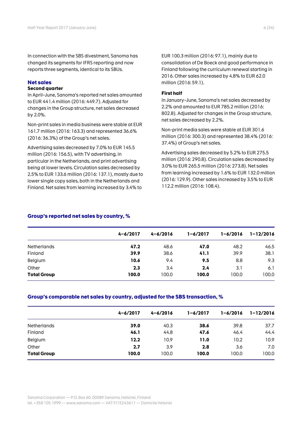In connection with the SBS divestment, Sanoma has changed its segments for IFRS reporting and now reports three segments, identical to its SBUs.

#### **Net sales**

#### **Second quarter**

In April–June, Sanoma's reported net sales amounted to EUR 441.4 million (2016: 449.7). Adjusted for changes in the Group structure, net sales decreased by 2.0%.

Non-print sales in media business were stable at EUR 161.7 million (2016: 163.3) and represented 36.6% (2016: 36.3%) of the Group's net sales.

Advertising sales decreased by 7.0% to EUR 145.5 million (2016: 156.5), with TV advertising, in particular in the Netherlands, and print advertising being at lower levels. Circulation sales decreased by 2.5% to EUR 133.6 million (2016: 137.1), mostly due to lower single copy sales, both in the Netherlands and Finland. Net sales from learning increased by 3.4% to

EUR 100.3 million (2016: 97.1), mainly due to consolidation of De Boeck and good performance in Finland following the curriculum renewal starting in 2016. Other sales increased by 4.8% to EUR 62.0 million (2016: 59.1).

#### **First half**

In January–June, Sanoma's net sales decreased by 2.2% and amounted to EUR 785.2 million (2016: 802.8). Adjusted for changes in the Group structure, net sales decreased by 2.2%.

Non-print media sales were stable at EUR 301.6 million (2016: 300.3) and represented 38.4% (2016: 37.4%) of Group's net sales.

Advertising sales decreased by 5.2% to EUR 275.5 million (2016: 290.8). Circulation sales decreased by 3.0% to EUR 265.5 million (2016: 273.8). Net sales from learning increased by 1.6% to EUR 132.0 million (2016: 129.9). Other sales increased by 3.5% to EUR 112.2 million (2016: 108.4).

#### **Group's reported net sales by country, %**

|                    | $4 - 6/2017$ | $4 - 6/2016$ | $1 - 6/2017$ | $1 - 6/2016$ | $1 - 12/2016$ |
|--------------------|--------------|--------------|--------------|--------------|---------------|
| <b>Netherlands</b> | 47.2         | 48.6         | 47.0         | 48.2         | 46.5          |
| Finland            | 39.9         | 38.6         | 41.1         | 39.9         | 38.1          |
| Belgium            | 10.6         | 9.4          | 9.5          | 8.8          | 9.3           |
| Other              | 2.3          | 3.4          | 2.4          | 3.1          | 6.1           |
| <b>Total Group</b> | 100.0        | 100.0        | 100.0        | 100.0        | 100.0         |
|                    |              |              |              |              |               |

#### **Group's comparable net sales by country, adjusted for the SBS transaction, %**

|                    | $4 - 6/2017$ | $4 - 6/2016$ | $1 - 6/2017$ | $1 - 6/2016$ | $1 - 12/2016$ |
|--------------------|--------------|--------------|--------------|--------------|---------------|
| <b>Netherlands</b> | 39.0         | 40.3         | 38.6         | 39.8         | 37.7          |
| Finland            | 46.1         | 44.8         | 47.6         | 46.4         | 44.4          |
| Belgium            | 12.2         | 10.9         | 11.0         | 10.2         | 10.9          |
| Other              | 2.7          | 3.9          | 2.8          | 3.6          | 7.0           |
| <b>Total Group</b> | 100.0        | 100.0        | 100.0        | 100.0        | 100.0         |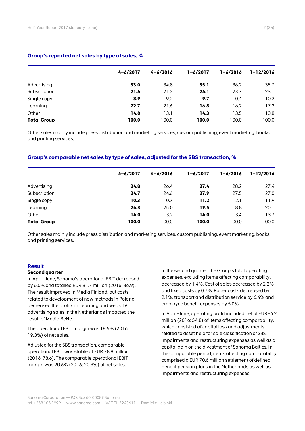#### **Group's reported net sales by type of sales, %**

|                    | $4 - 6/2017$ | $4 - 6/2016$ | $1 - 6/2017$ | $1 - 6/2016$ | $1 - 12/2016$ |  |
|--------------------|--------------|--------------|--------------|--------------|---------------|--|
| Advertising        | 33.0         | 34.8         | 35.1         | 36.2         | 35.7          |  |
| Subscription       | 21.4         | 21.2         | 24.1         | 23.7         | 23.1          |  |
| Single copy        | 8.9          | 9.2          | 9.7          | 10.4         | 10.2          |  |
| Learning           | 22.7         | 21.6         | 16.8         | 16.2         | 17.2          |  |
| Other              | 14.0         | 13.1         | 14.3         | 13.5         | 13.8          |  |
| <b>Total Group</b> | 100.0        | 100.0        | 100.0        | 100.0        | 100.0         |  |

Other sales mainly include press distribution and marketing services, custom publishing, event marketing, books and printing services.

#### **Group's comparable net sales by type of sales, adjusted for the SBS transaction, %**

|                    | $4 - 6/2017$ | $4 - 6/2016$ | $1 - 6/2017$ | $1 - 6/2016$ | $1 - 12/2016$ |  |
|--------------------|--------------|--------------|--------------|--------------|---------------|--|
|                    |              |              |              |              |               |  |
| Advertising        | 24.8         | 26.4         | 27.4         | 28.2         | 27.4          |  |
| Subscription       | 24.7         | 24.6         | 27.9         | 27.5         | 27.0          |  |
| Single copy        | 10.3         | 10.7         | 11.2         | 12.1         | 11.9          |  |
| Learning           | 26.3         | 25.0         | 19.5         | 18.8         | 20.1          |  |
| Other              | 14.0         | 13.2         | 14.0         | 13.4         | 13.7          |  |
| <b>Total Group</b> | 100.0        | 100.0        | 100.0        | 100.0        | 100.0         |  |

Other sales mainly include press distribution and marketing services, custom publishing, event marketing, books and printing services.

#### **Result**

#### **Second quarter**

In April–June, Sanoma's operational EBIT decreased by 6.0% and totalled EUR 81.7 million (2016: 86.9). The result improved in Media Finland, but costs related to development of new methods in Poland decreased the profits in Learning and weak TV advertising sales in the Netherlands impacted the result of Media BeNe.

The operational EBIT margin was 18.5% (2016: 19.3%) of net sales.

Adjusted for the SBS transaction, comparable operational EBIT was stable at EUR 78.8 million (2016: 78.6). The comparable operational EBIT margin was 20.6% (2016: 20.3%) of net sales.

In the second quarter, the Group's total operating expenses, excluding items affecting comparability, decreased by 1.4%. Cost of sales decreased by 2.2% and fixed costs by 0.7%. Paper costs decreased by 2.1%, transport and distribution service by 6.4% and employee benefit expenses by 5.0%.

In April–June, operating profit included net of EUR -4.2 million (2016: 54.8) of items affecting comparability, which consisted of capital loss and adjustments related to asset held for sale classification of SBS, impairments and restructuring expenses as well as a capital gain on the divestment of Sanoma Baltics. In the comparable period, items affecting comparability comprised a EUR 70.6 million settlement of defined benefit pension plans in the Netherlands as well as impairments and restructuring expenses.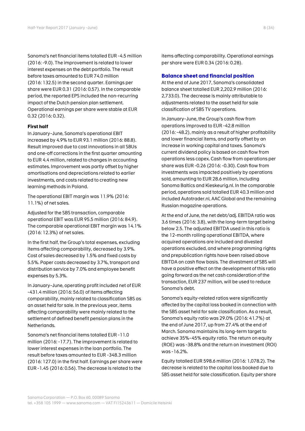Sanoma's net financial items totalled EUR -4.5 million (2016: -9.0). The improvement is related to lower interest expenses on the debt portfolio. The result before taxes amounted to EUR 74.0 million (2016: 132.5) in the second quarter. Earnings per share were EUR 0.31 (2016: 0.57). In the comparable period, the reported EPS included the non-recurring impact of the Dutch pension plan settlement. Operational earnings per share were stable at EUR 0.32 (2016: 0.32).

#### **First half**

In January–June, Sanoma's operational EBIT increased by 4.9% to EUR 93.1 million (2016: 88.8). Result improved due to cost innovations in all SBUs and one-off corrections in the first quarter amounting to EUR 4.4 million, related to changes in accounting estimates. Improvement was partly offset by higher amortisations and depreciations related to earlier investments, and costs related to creating new learning methods in Poland.

The operational EBIT margin was 11.9% (2016: 11.1%) of net sales.

Adjusted for the SBS transaction, comparable operational EBIT was EUR 95.5 million (2016: 84.9). The comparable operational EBIT margin was 14.1% (2016: 12.3%) of net sales.

In the first half, the Group's total expenses, excluding items affecting comparability, decreased by 3.9%. Cost of sales decreased by 1.5% and fixed costs by 5.5%. Paper costs decreased by 3.7%, transport and distribution service by 7.0% and employee benefit expenses by 5.3%.

In January–June, operating profit included net of EUR -431.4 million (2016: 56.0) of items affecting comparability, mainly related to classification SBS as an asset held for sale. In the previous year, items affecting comparability were mainly related to the settlement of defined benefit pension plans in the Netherlands.

Sanoma's net financial items totalled EUR -11.0 million (2016: -17.7). The improvement is related to lower interest expenses in the loan portfolio. The result before taxes amounted to EUR -348.3 million (2016: 127.0) in the first half. Earnings per share were EUR -1.45 (2016: 0.56). The decrease is related to the

items affecting comparability. Operational earnings per share were EUR 0.34 (2016: 0.28).

#### **Balance sheet and financial position**

At the end of June 2017, Sanoma's consolidated balance sheet totalled EUR 2,202.9 million (2016: 2,733.0). The decrease is mainly attributable to adjustments related to the asset held for sale classification of SBS TV operations.

In January–June, the Group's cash flow from operations improved to EUR -42.8 million (2016: -48.2), mainly as a result of higher profitability and lower financial items, and partly offset by an increase in working capital and taxes. Sanoma's current dividend policy is based on cash flow from operations less capex. Cash flow from operations per share was EUR -0.26 (2016: -0.30). Cash flow from investments was impacted positively by operations sold, amounting to EUR 28.6 million, including Sanoma Baltics and Kieskeurig.nl. In the comparable period, operations sold totalled EUR 40.3 million and included Autotrader.nl, AAC Global and the remaining Russian magazine operations.

At the end of June, the net debt/adj. EBITDA ratio was 3.6 times (2016: 3.8), with the long-term target being below 2.5. The adjusted EBITDA used in this ratio is the 12-month rolling operational EBITDA, where acquired operations are included and divested operations excluded, and where programming rights and prepublication rights have been raised above EBITDA on cash flow basis. The divestment of SBS will have a positive effect on the development of this ratio going forward as the net cash consideration of the transaction, EUR 237 million, will be used to reduce Sanoma's debt.

Sanoma's equity-related ratios were significantly affected by the capital loss booked in connection with the SBS asset held for sale classification. As a result, Sanoma's equity ratio was 29.0% (2016: 41.7%) at the end of June 2017, up from 27.4% at the end of March. Sanoma maintains its long-term target to achieve 35%–45% equity ratio. The return on equity (ROE) was -38.8% and the return on investment (ROI) was -16.2%.

Equity totalled EUR 598.6 million (2016: 1,078.2). The decrease is related to the capital loss booked due to SBS asset held for sale classification. Equity per share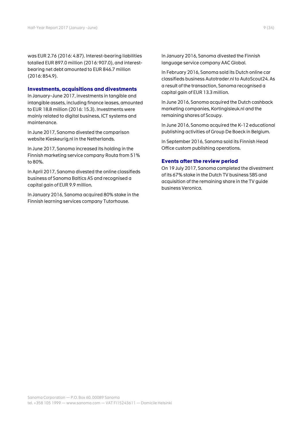was EUR 2.76 (2016: 4.87). Interest-bearing liabilities totalled EUR 897.0 million (2016: 907.0), and interestbearing net debt amounted to EUR 846.7 million (2016: 854.9).

#### **Investments, acquisitions and divestments**

In January–June 2017, investments in tangible and intangible assets, including finance leases, amounted to EUR 18.8 million (2016: 15.3). Investments were mainly related to digital business, ICT systems and maintenance.

In June 2017, Sanoma divested the comparison website Kieskeurig.nl in the Netherlands.

In June 2017, Sanoma increased its holding in the Finnish marketing service company Routa from 51% to 80%.

In April 2017, Sanoma divested the online classifieds business of Sanoma Baltics AS and recognised a capital gain of EUR 9.9 million.

In January 2016, Sanoma acquired 80% stake in the Finnish learning services company Tutorhouse.

In January 2016, Sanoma divested the Finnish language service company AAC Global.

In February 2016, Sanoma sold its Dutch online car classifieds business Autotrader.nl to AutoScout24. As a result of the transaction, Sanoma recognised a capital gain of EUR 13.3 million.

In June 2016, Sanoma acquired the Dutch cashback marketing companies, Kortingisleuk.nl and the remaining shares of Scoupy.

In June 2016, Sanoma acquired the K-12 educational publishing activities of Group De Boeck in Belgium.

In September 2016, Sanoma sold its Finnish Head Office custom publishing operations.

#### **Events after the review period**

On 19 July 2017, Sanoma completed the divestment of its 67% stake in the Dutch TV business SBS and acquisition of the remaining share in the TV guide business Veronica.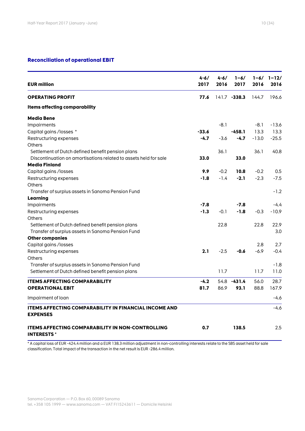#### **Reconciliation of operational EBIT**

| <b>EUR million</b>                                                              | $4 - 6/$<br>2017 | $4 - 6/$<br>2016 | $1 - 6/$<br>2017 | 2016    | $1 - 6/ 1 - 12/$<br>2016 |
|---------------------------------------------------------------------------------|------------------|------------------|------------------|---------|--------------------------|
| <b>OPERATING PROFIT</b>                                                         | 77.6             |                  | 141.7 -338.3     | 144.7   | 196.6                    |
| Items affecting comparability                                                   |                  |                  |                  |         |                          |
| <b>Media Bene</b>                                                               |                  |                  |                  |         |                          |
| <b>Impairments</b>                                                              |                  | $-8.1$           |                  | $-8.1$  | $-13.6$                  |
| Capital gains / losses *                                                        | $-33.6$          |                  | $-458.1$         | 13.3    | 13.3                     |
| Restructuring expenses                                                          | $-4.7$           | $-3.6$           | $-4.7$           | $-13.0$ | $-25.5$                  |
| Others                                                                          |                  |                  |                  |         |                          |
| Settlement of Dutch defined benefit pension plans                               |                  | 36.1             |                  | 36.1    | 40.8                     |
| Discontinuation on amortisations related to assets held for sale                | 33.0             |                  | 33.0             |         |                          |
| <b>Media Finland</b>                                                            |                  |                  |                  |         |                          |
| Capital gains /losses                                                           | 9.9              | $-0.2$           | 10.8             | $-0.2$  | 0.5                      |
| Restructuring expenses                                                          | $-1.8$           | $-1.4$           | $-2.1$           | $-2.3$  | $-7.5$                   |
| <b>Others</b>                                                                   |                  |                  |                  |         |                          |
| Transfer of surplus assets in Sanoma Pension Fund                               |                  |                  |                  |         | $-1.2$                   |
| Learning                                                                        |                  |                  |                  |         |                          |
| Impairments                                                                     | -7.8             |                  | -7.8             |         | -4.4                     |
| Restructuring expenses                                                          | $-1.3$           | $-0.1$           | $-1.8$           | $-0.3$  | $-10.9$                  |
| <b>Others</b>                                                                   |                  |                  |                  |         |                          |
| Settlement of Dutch defined benefit pension plans                               |                  | 22.8             |                  | 22.8    | 22.9                     |
| Transfer of surplus assets in Sanoma Pension Fund                               |                  |                  |                  |         | 3.0                      |
| <b>Other companies</b>                                                          |                  |                  |                  |         |                          |
| Capital gains /losses                                                           |                  |                  |                  | 2.8     | 2.7                      |
| Restructuring expenses                                                          | 2.1              | $-2.5$           | $-0.6$           | $-6.9$  | $-0.4$                   |
| Others                                                                          |                  |                  |                  |         |                          |
| Transfer of surplus assets in Sanoma Pension Fund                               |                  |                  |                  |         | $-1.8$                   |
| Settlement of Dutch defined benefit pension plans                               |                  | 11.7             |                  | 11.7    | 11.0                     |
|                                                                                 |                  |                  |                  |         |                          |
| <b>ITEMS AFFECTING COMPARABILITY</b>                                            | $-4.2$           |                  | 54.8 -431.4      | 56.0    | 28.7                     |
| <b>OPERATIONAL EBIT</b>                                                         | 81.7             | 86.9             | 93.1             | 88.8    | 167.9                    |
| Impairment of loan                                                              |                  |                  |                  |         | $-4.6$                   |
| <b>ITEMS AFFECTING COMPARABILITY IN FINANCIAL INCOME AND</b><br><b>EXPENSES</b> |                  |                  |                  |         | $-4.6$                   |
| <b>ITEMS AFFECTING COMPARABILITY IN NON-CONTROLLING</b><br><b>INTERESTS*</b>    | 0.7              |                  | 138.5            |         | 2.5                      |

\* A capital loss of EUR -424.4 million and a EUR 138.3 million adjustment in non-controlling interests relate to the SBS asset held for sale classification. Total impact of the transaction in the net result is EUR -286.4 million.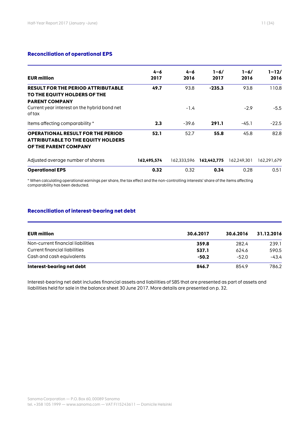#### **Reconciliation of operational EPS**

| <b>EUR million</b>                                                                                             | $4 - 6$<br>2017 | $4 - 6$<br>2016 | $1 - 6/$<br>2017 | $1 - 6/$<br>2016 | 1-12/<br>2016 |
|----------------------------------------------------------------------------------------------------------------|-----------------|-----------------|------------------|------------------|---------------|
| <b>RESULT FOR THE PERIOD ATTRIBUTABLE</b><br>TO THE EQUITY HOLDERS OF THE<br><b>PARENT COMPANY</b>             | 49.7            | 93.8            | $-235.3$         | 93.8             | 110.8         |
| Current year interest on the hybrid bond net<br>of tax                                                         |                 | $-1.4$          |                  | $-2.9$           | $-5.5$        |
| Items affecting comparability *                                                                                | 2.3             | $-39.6$         | 291.1            | $-45.1$          | $-22.5$       |
| <b>OPERATIONAL RESULT FOR THE PERIOD</b><br><b>ATTRIBUTABLE TO THE EQUITY HOLDERS</b><br>OF THE PARENT COMPANY | 52.1            | 52.7            | 55.8             | 45.8             | 82.8          |
| Adjusted average number of shares                                                                              | 162.495.574     | 162.333.596     | 162,442,775      | 162.249.301      | 162.291.679   |
| <b>Operational EPS</b>                                                                                         | 0.32            | 0.32            | 0.34             | 0.28             | 0.51          |

\* When calculating operational earnings per share, the tax effect and the non-controlling interests' share of the items affecting comparability has been deducted.

#### **Reconciliation of interest-bearing net debt**

| <b>EUR million</b>                | 30.6.2017 | 30.6.2016 | 31.12.2016 |
|-----------------------------------|-----------|-----------|------------|
| Non-current financial liabilities | 359.8     | 282.4     | 239.1      |
| Current financial liabilities     | 537.1     | 624.6     | 590.5      |
| Cash and cash equivalents         | $-50.2$   | $-52.0$   | -43.4      |
| Interest-bearing net debt         | 846.7     | 854.9     | 786.2      |

Interest-bearing net debt includes financial assets and liabilities of SBS that are presented as part of assets and liabilities held for sale in the balance sheet 30 June 2017. More details are presented on p. 32.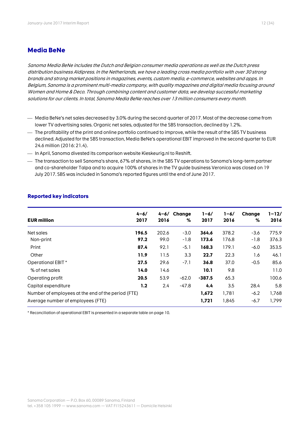#### **Media BeNe**

Sanoma Media BeNe includes the Dutch and Belgian consumer media operations as well as the Dutch press distribution business Aldipress. In the Netherlands, we have a leading cross media portfolio with over 30 strong brands and strong market positions in magazines, events, custom media, e-commerce, websites and apps. In Belgium, Sanoma is a prominent multi-media company, with quality magazines and digital media focusing around Women and Home & Deco. Through combining content and customer data, we develop successful marketing solutions for our clients. In total, Sanoma Media BeNe reaches over 13 million consumers every month.

- Media BeNe's net sales decreased by 3.0% during the second quarter of 2017. Most of the decrease came from lower TV advertising sales. Organic net sales, adjusted for the SBS transaction, declined by 1.2%.
- $-$  The profitability of the print and online portfolio continued to improve, while the result of the SBS TV business declined. Adjusted for the SBS transaction, Media BeNe's operational EBIT improved in the second quarter to EUR 24.6 million (2016: 21.4).
- $-$  In April, Sanoma divested its comparison website Kieskeurig.nl to Reshift.
- $-$  The transaction to sell Sanoma's share, 67% of shares, in the SBS TV operations to Sanoma's long-term partner and co-shareholder Talpa and to acquire 100% of shares in the TV guide business Veronica was closed on 19 July 2017. SBS was included in Sanoma's reported figures until the end of June 2017.

| <b>EUR million</b>                                 | $4 - 6/$<br>2017 | $4 - 6/$<br>2016 | Change<br>% | $1 - 6/$<br>2017 | $1 - 6/$<br>2016 | Change<br>% | $1 - 12/$<br>2016 |
|----------------------------------------------------|------------------|------------------|-------------|------------------|------------------|-------------|-------------------|
|                                                    |                  |                  |             |                  |                  |             |                   |
| Net sales                                          | 196.5            | 202.6            | $-3.0$      | 364.6            | 378.2            | $-3.6$      | 775.9             |
| Non-print                                          | 97.2             | 99.0             | $-1.8$      | 173.6            | 176.8            | $-1.8$      | 376.3             |
| Print                                              | 87.4             | 92.1             | $-5.1$      | 168.3            | 179.1            | $-6.0$      | 353.5             |
| Other                                              | 11.9             | 11.5             | 3.3         | 22.7             | 22.3             | 1.6         | 46.1              |
| Operational EBIT *                                 | 27.5             | 29.6             | $-7.1$      | 36.8             | 37.0             | $-0.5$      | 85.6              |
| % of net sales                                     | 14.0             | 14.6             |             | 10.1             | 9.8              |             | 11.0              |
| Operating profit                                   | 20.5             | 53.9             | $-62.0$     | $-387.5$         | 65.3             |             | 100.6             |
| Capital expenditure                                | 1.2              | 2.4              | $-47.8$     | 4.4              | 3.5              | 28.4        | 5.8               |
| Number of employees at the end of the period (FTE) |                  |                  |             | 1,672            | 1,781            | $-6.2$      | 1,768             |
| Average number of employees (FTE)                  |                  |                  |             | 1,721            | 1,845            | $-6.7$      | 1,799             |

#### **Reported key indicators**

\* Reconciliation of operational EBIT is presented in a separate table on page 10.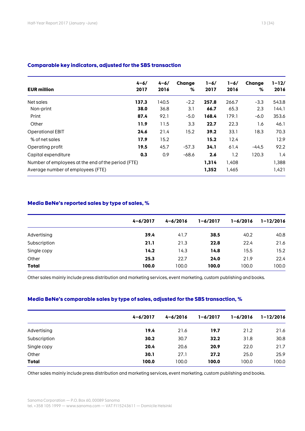| <b>EUR million</b>                                 | $4 - 6/$<br>2017 | $4 - 6/$<br>2016 | Change<br>% | $1 - 6/$<br>2017 | $1 - 6/$<br>2016 | Change<br>% | $1 - 12/$<br>2016 |
|----------------------------------------------------|------------------|------------------|-------------|------------------|------------------|-------------|-------------------|
| Net sales                                          | 137.3            | 140.5            | $-2.2$      | 257.8            | 266.7            | $-3.3$      | 543.8             |
| Non-print                                          | 38.0             | 36.8             | 3.1         | 66.7             | 65.3             | 2.3         | 144.1             |
| Print                                              | 87.4             | 92.1             | $-5.0$      | 168.4            | 179.1            | $-6.0$      | 353.6             |
| Other                                              | 11.9             | 11.5             | 3.3         | 22.7             | 22.3             | 1.6         | 46.1              |
| <b>Operational EBIT</b>                            | 24.6             | 21.4             | 15.2        | 39.2             | 33.1             | 18.3        | 70.3              |
| % of net sales                                     | 17.9             | 15.2             |             | 15.2             | 12.4             |             | 12.9              |
| Operating profit                                   | 19.5             | 45.7             | $-57.3$     | 34.1             | 61.4             | -44.5       | 92.2              |
| Capital expenditure                                | 0.3              | 0.9              | $-68.6$     | 2.6              | 1.2              | 120.3       | 1.4               |
| Number of employees at the end of the period (FTE) |                  |                  |             | 1,314            | 1,408            |             | 1,388             |
| Average number of employees (FTE)                  |                  |                  |             | 1,352            | 1,465            |             | 1,421             |

#### **Comparable key indicators, adjusted for the SBS transaction**

#### **Media BeNe's reported sales by type of sales, %**

|              | $4 - 6/2017$ | $4 - 6/2016$ | $1 - 6/2017$ | $1 - 6/2016$ | $1 - 12/2016$ |
|--------------|--------------|--------------|--------------|--------------|---------------|
| Advertising  | 39.4         | 41.7         | 38.5         | 40.2         | 40.8          |
| Subscription | 21.1         | 21.3         | 22.8         | 22.4         | 21.6          |
| Single copy  | 14.2         | 14.3         | 14.8         | 15.5         | 15.2          |
| Other        | 25.3         | 22.7         | 24.0         | 21.9         | 22.4          |
| <b>Total</b> | 100.0        | 100.0        | 100.0        | 100.0        | 100.0         |

Other sales mainly include press distribution and marketing services, event marketing, custom publishing and books.

#### **Media BeNe's comparable sales by type of sales, adjusted for the SBS transaction, %**

|              | $4 - 6/2017$ | $4 - 6/2016$ | $1 - 6/2017$ | $1 - 6/2016$ | $1 - 12/2016$ |
|--------------|--------------|--------------|--------------|--------------|---------------|
| Advertising  | 19.4         | 21.6         | 19.7         | 21.2         | 21.6          |
| Subscription | 30.2         | 30.7         | 32.2         | 31.8         | 30.8          |
| Single copy  | 20.4         | 20.6         | 20.9         | 22.0         | 21.7          |
| Other        | 30.1         | 27.1         | 27.2         | 25.0         | 25.9          |
| <b>Total</b> | 100.0        | 100.0        | 100.0        | 100.0        | 100.0         |
|              |              |              |              |              |               |

Other sales mainly include press distribution and marketing services, event marketing, custom publishing and books.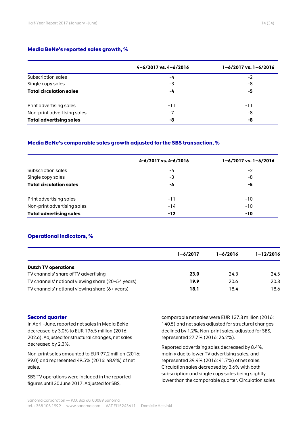#### **Media BeNe's reported sales growth, %**

|                                | $4 - 6/2017$ vs. $4 - 6/2016$ | $1 - 6/2017$ vs. $1 - 6/2016$ |
|--------------------------------|-------------------------------|-------------------------------|
| Subscription sales             | -4                            | $-2$                          |
| Single copy sales              | -3                            | -8                            |
| <b>Total circulation sales</b> | -4                            | -5                            |
| Print advertising sales        | -11                           | -11                           |
| Non-print advertising sales    | -7                            | -8                            |
| <b>Total advertising sales</b> | -8                            | -8                            |

#### **Media BeNe's comparable sales growth adjusted for the SBS transaction, %**

|                                | 4-6/2017 vs. 4-6/2016 | $1 - 6/2017$ vs. $1 - 6/2016$ |
|--------------------------------|-----------------------|-------------------------------|
| Subscription sales             | -4                    | -2                            |
| Single copy sales              | -3                    | -8                            |
| <b>Total circulation sales</b> | -4                    | -5                            |
| Print advertising sales        | $-11$                 | $-10$                         |
| Non-print advertising sales    | $-14$                 | $-10$                         |
| <b>Total advertising sales</b> | $-12$                 | $-10$                         |

#### **Operational indicators, %**

|                                                   | $1 - 6/2017$ | $1 - 6/2016$ | $1 - 12/2016$ |
|---------------------------------------------------|--------------|--------------|---------------|
| <b>Dutch TV operations</b>                        |              |              |               |
| TV channels' share of TV advertising              | 23.0         | 24.3         | 24.5          |
| TV channels' national viewing share (20-54 years) | 19.9         | 20.6         | 20.3          |
| TV channels' national viewing share (6+ years)    | 18.1         | 18.4         | 18.6          |

#### **Second quarter**

In April–June, reported net sales in Media BeNe decreased by 3.0% to EUR 196.5 million (2016: 202.6). Adjusted for structural changes, net sales decreased by 2.3%.

Non-print sales amounted to EUR 97.2 million (2016: 99.0) and represented 49.5% (2016: 48.9%) of net sales.

SBS TV operations were included in the reported figures until 30 June 2017. Adjusted for SBS,

comparable net sales were EUR 137.3 million (2016: 140.5) and net sales adjusted for structural changes declined by 1.2%. Non-print sales, adjusted for SBS, represented 27.7% (2016: 26.2%).

Reported advertising sales decreased by 8.4%, mainly due to lower TV advertising sales, and represented 39.4% (2016: 41.7%) of net sales. Circulation sales decreased by 3.6% with both subscription and single copy sales being slightly lower than the comparable quarter. Circulation sales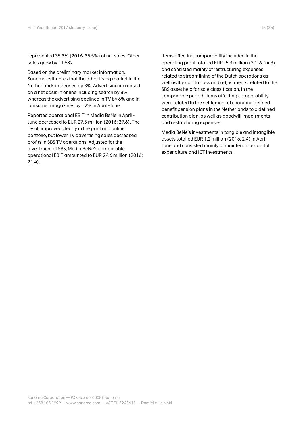represented 35.3% (2016: 35.5%) of net sales. Other sales grew by 11.5%.

Based on the preliminary market information, Sanoma estimates that the advertising market in the Netherlands increased by 3%. Advertising increased on a net basis in online including search by 8%, whereas the advertising declined in TV by 6% and in consumer magazines by 12% in April–June.

Reported operational EBIT in Media BeNe in April– June decreased to EUR 27.5 million (2016: 29.6). The result improved clearly in the print and online portfolio, but lower TV advertising sales decreased profits in SBS TV operations. Adjusted for the divestment of SBS, Media BeNe's comparable operational EBIT amounted to EUR 24.6 million (2016: 21.4).

Items affecting comparability included in the operating profit totalled EUR -5.3 million (2016: 24.3) and consisted mainly of restructuring expenses related to streamlining of the Dutch operations as well as the capital loss and adjustments related to the SBS asset held for sale classification. In the comparable period, items affecting comparability were related to the settlement of changing defined benefit pension plans in the Netherlands to a defined contribution plan, as well as goodwill impairments and restructuring expenses.

Media BeNe's investments in tangible and intangible assets totalled EUR 1.2 million (2016: 2.4) in April– June and consisted mainly of maintenance capital expenditure and ICT investments.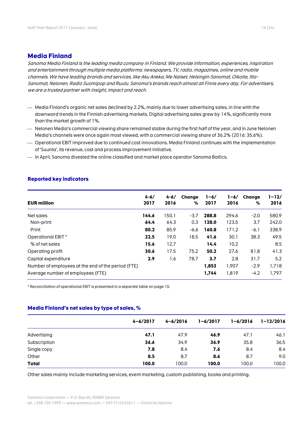#### **Media Finland**

Sanoma Media Finland is the leading media company in Finland. We provide information, experiences, inspiration and entertainment through multiple media platforms: newspapers, TV, radio, magazines, online and mobile channels. We have leading brands and services, like Aku Ankka, Me Naiset, Helsingin Sanomat, Oikotie, Ilta-Sanomat, Nelonen, Radio Suomipop and Ruutu. Sanoma's brands reach almost all Finns every day. For advertisers, we are a trusted partner with insight, impact and reach.

- Media Finland's organic net sales declined by 2.2%, mainly due to lower advertising sales, in line with the downward trends in the Finnish advertising markets. Digital advertising sales grew by 14%, significantly more than the market growth of 1%.
- Nelonen Media's commercial viewing share remained stable during the first half of the year, and in June Nelonen Media's channels were once again most viewed, with a commercial viewing share of 36.2% (2016: 35.6%).
- Operational EBIT improved due to continued cost innovations. Media Finland continues with the implementation of 'Suunta', its revenue, cost and process improvement initiative.
- In April, Sanoma divested the online classified and market place operator Sanoma Baltics.

| <b>EUR million</b>                                 | $4 - 6/$<br>2017 | $4 - 6/$<br>2016 | Change<br>℅ | $1 - 6/$<br>2017 | $1 - 6/$<br>2016 | Change<br>% | 1-12/<br>2016 |
|----------------------------------------------------|------------------|------------------|-------------|------------------|------------------|-------------|---------------|
| Net sales                                          | 144.6            | 150.1            | $-3.7$      | 288.8            | 294.6            | $-2.0$      | 580.9         |
| Non-print                                          | 64.4             | 64.3             | 0.3         | 128.0            | 123.5            | 3.7         | 242.0         |
| Print                                              | 80.2             | 85.9             | -6.6        | 160.8            | 171.2            | $-6.1$      | 338.9         |
| Operational EBIT *                                 | 22.5             | 19.0             | 18.5        | 41.6             | 30.1             | 38.3        | 49.5          |
| % of net sales                                     | 15.6             | 12.7             |             | 14.4             | 10.2             |             | 8.5           |
| Operating profit                                   | 30.6             | 17.5             | 75.2        | 50.2             | 27.6             | 81.8        | 41.3          |
| Capital expenditure                                | 2.9              | 1.6              | 78.7        | 3.7              | 2.8              | 31.7        | 5.2           |
| Number of employees at the end of the period (FTE) |                  |                  |             | 1.853            | 1.907            | $-2.9$      | 1,718         |
| Average number of employees (FTE)                  |                  |                  |             | 1.744            | 1.819            | $-4.2$      | 1.797         |

#### **Reported key indicators**

\* Reconciliation of operational EBIT is presented in a separate table on page 10.

#### **Media Finland's net sales by type of sales, %**

|              | $4 - 6/2017$ | $4 - 6/2016$ | $1 - 6/2017$ | $1 - 6/2016$ | $1 - 12/2016$ |
|--------------|--------------|--------------|--------------|--------------|---------------|
| Advertising  | 47.1         | 47.9         | 46.9         | 47.1         | 46.1          |
| Subscription | 36.6         | 34.9         | 36.9         | 35.8         | 36.5          |
| Single copy  | 7.8          | 8.4          | 7.6          | 8.4          | 8.4           |
| Other        | 8.5          | 8.7          | 8.6          | 8.7          | 9.0           |
| <b>Total</b> | 100.0        | 100.0        | 100.0        | 100.0        | 100.0         |

Other sales mainly include marketing services, event marketing, custom publishing, books and printing.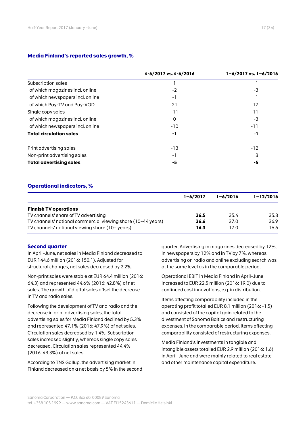#### **Media Finland's reported sales growth, %**

|                                  | 4-6/2017 vs. 4-6/2016 | $1 - 6/2017$ vs. $1 - 6/2016$ |
|----------------------------------|-----------------------|-------------------------------|
| Subscription sales               |                       |                               |
| of which magazines incl. online  | $-2$                  | -3                            |
| of which newspapers incl. online | - 1                   |                               |
| of which Pay-TV and Pay-VOD      | 21                    | 17                            |
| Single copy sales                | -11                   | -11                           |
| of which magazines incl. online  | 0                     | -3                            |
| of which newspapers incl. online | $-10$                 | $-11$                         |
| <b>Total circulation sales</b>   | -1                    | -1                            |
| Print advertising sales          | $-13$                 | $-12$                         |
| Non-print advertising sales      | - 1                   | 3                             |
| <b>Total advertising sales</b>   | -5                    | -5                            |

#### **Operational indicators, %**

|                                                              | $1 - 6/2017$ | $1 - 6/2016$ | $1 - 12/2016$ |
|--------------------------------------------------------------|--------------|--------------|---------------|
| <b>Finnish TV operations</b>                                 |              |              |               |
| TV channels' share of TV advertising                         | 36.5         | 35.4         | 35.3          |
| TV channels' national commercial viewing share (10-44 years) | 36.6         | 37.0         | 36.9          |
| TV channels' national viewing share (10+ years)              | 16.3         | 17.0         | 16.6          |

#### **Second quarter**

In April–June, net sales in Media Finland decreased to EUR 144.6 million (2016: 150.1). Adjusted for structural changes, net sales decreased by 2.2%.

Non-print sales were stable at EUR 64.4 million (2016: 64.3) and represented 44.6% (2016: 42.8%) of net sales. The growth of digital sales offset the decrease in TV and radio sales.

Following the development of TV and radio and the decrease in print advertising sales, the total advertising sales for Media Finland declined by 5.3% and represented 47.1% (2016: 47.9%) of net sales. Circulation sales decreased by 1.4%. Subscription sales increased slightly, whereas single copy sales decreased. Circulation sales represented 44.4% (2016: 43.3%) of net sales.

According to TNS Gallup, the advertising market in Finland decreased on a net basis by 5% in the second quarter. Advertising in magazines decreased by 12%, in newspapers by 12% and in TV by 7%, whereas advertising on radio and online excluding search was at the same level as in the comparable period.

Operational EBIT in Media Finland in April–June increased to EUR 22.5 million (2016: 19.0) due to continued cost innovations, e.g. in distribution.

Items affecting comparability included in the operating profit totalled EUR 8.1 million (2016: -1.5) and consisted of the capital gain related to the divestment of Sanoma Baltics and restructuring expenses. In the comparable period, items affecting comparability consisted of restructuring expenses.

Media Finland's investments in tangible and intangible assets totalled EUR 2.9 million (2016: 1.6) in April–June and were mainly related to real estate and other maintenance capital expenditure.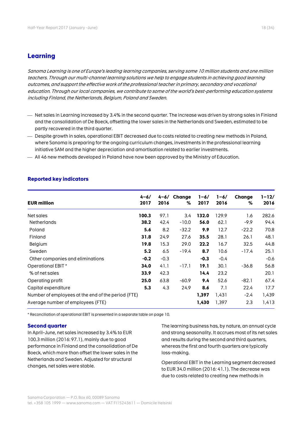#### **Learning**

Sanoma Learning is one of Europe's leading learning companies, serving some 10 million students and one million teachers. Through our multi-channel learning solutions we help to engage students in achieving good learning outcomes, and support the effective work of the professional teacher in primary, secondary and vocational education. Through our local companies, we contribute to some of the world's best-performing education systems including Finland, the Netherlands, Belgium, Poland and Sweden.

- $-$  Net sales in Learning increased by 3.4% in the second quarter. The increase was driven by strong sales in Finland and the consolidation of De Boeck, offsetting the lower sales in the Netherlands and Sweden, estimated to be partly recovered in the third quarter.
- Despite growth in sales, operational EBIT decreased due to costs related to creating new methods in Poland, where Sanoma is preparing for the ongoing curriculum changes, investments in the professional learning initiative SAM and the higher depreciation and amortisation related to earlier investments.
- All 46 new methods developed in Poland have now been approved by the Ministry of Education.

| <b>EUR million</b>                                 | $4 - 6/$<br>2017 | 4-6/<br>2016 | Change<br>% | $1 - 6/$<br>2017 | $1 - 6/$<br>2016 | Change<br>% | $1 - 12/$<br>2016 |
|----------------------------------------------------|------------------|--------------|-------------|------------------|------------------|-------------|-------------------|
| Net sales                                          | 100.3            | 97.1         | 3.4         | 132.0            | 129.9            | 1.6         | 282.6             |
| <b>Netherlands</b>                                 | 38.2             | 42.4         | $-10.0$     | 56.0             | 62.1             | $-9.9$      | 94.4              |
| Poland                                             | 5.6              | 8.2          | $-32.2$     | 9.9              | 12.7             | $-22.2$     | 70.8              |
| Finland                                            | 31.8             | 24.9         | 27.6        | 35.5             | 28.1             | 26.1        | 48.1              |
| Belgium                                            | 19.8             | 15.3         | 29.0        | 22.2             | 16.7             | 32.5        | 44.8              |
| Sweden                                             | 5.2              | 6.5          | -19.4       | 8.7              | 10.6             | -17.4       | 25.1              |
| Other companies and eliminations                   | $-0.2$           | $-0.3$       |             | $-0.3$           | $-0.4$           |             | $-0.6$            |
| Operational EBIT *                                 | 34.0             | 41.1         | $-17.1$     | 19.1             | 30.1             | $-36.8$     | 56.8              |
| % of net sales                                     | 33.9             | 42.3         |             | 14.4             | 23.2             |             | 20.1              |
| Operating profit                                   | 25.0             | 63.8         | $-60.9$     | 9.4              | 52.6             | $-82.1$     | 67.4              |
| Capital expenditure                                | 5.3              | 4.3          | 24.9        | 8.6              | 7.1              | 22.4        | 17.7              |
| Number of employees at the end of the period (FTE) |                  |              |             | 1,397            | 1.431            | $-2.4$      | 1,439             |
| Average number of employees (FTE)                  |                  |              |             | 1,430            | 1,397            | 2.3         | 1,413             |

#### **Reported key indicators**

\* Reconciliation of operational EBIT is presented in a separate table on page 10.

#### **Second quarter**

In April–June, net sales increased by 3.4% to EUR 100.3 million (2016: 97.1), mainly due to good performance in Finland and the consolidation of De Boeck, which more than offset the lower sales in the Netherlands and Sweden. Adjusted for structural changes, net sales were stable.

The learning business has, by nature, an annual cycle and strong seasonality. It accrues most of its net sales and results during the second and third quarters, whereas the first and fourth quarters are typically loss-making.

Operational EBIT in the Learning segment decreased to EUR 34.0 million (2016: 41.1). The decrease was due to costs related to creating new methods in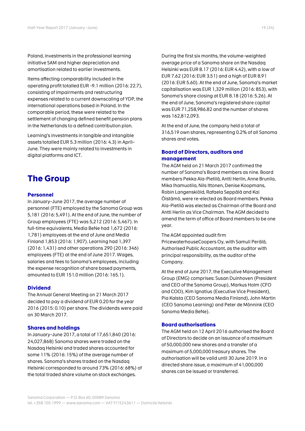Poland, investments in the professional learning initiative SAM and higher depreciation and amortisation related to earlier investments.

Items affecting comparability included in the operating profit totalled EUR -9.1 million (2016: 22.7), consisting of impairments and restructuring expenses related to a current downscaling of YDP, the international operations based in Poland. In the comparable period, these were related to the settlement of changing defined benefit pension plans in the Netherlands to a defined contribution plan.

Learning's investments in tangible and intangible assets totalled EUR 5.3 million (2016: 4.3) in April– June. They were mainly related to investments in digital platforms and ICT.

# **The Group**

#### **Personnel**

In January–June 2017, the average number of personnel (FTE) employed by the Sanoma Group was 5,181 (2016: 5,491). At the end of June, the number of Group employees (FTE) was 5,212 (2016: 5,467). In full-time equivalents, Media BeNe had 1,672 (2016: 1,781) employees at the end of June and Media Finland 1,853 (2016: 1,907). Learning had 1,397 (2016: 1,431) and other operations 290 (2016: 346) employees (FTE) at the end of June 2017. Wages, salaries and fees to Sanoma's employees, including the expense recognition of share based payments, amounted to EUR 151.0 million (2016: 165.1).

#### **Dividend**

The Annual General Meeting on 21 March 2017 decided to pay a dividend of EUR 0.20 for the year 2016 (2015: 0.10) per share. The dividends were paid on 30 March 2017.

#### **Shares and holdings**

In January–June 2017, a total of 17,651,840 (2016: 24,027,868) Sanoma shares were traded on the Nasdaq Helsinki and traded shares accounted for some 11% (2016: 15%) of the average number of shares. Sanoma's shares traded on the Nasdaq Helsinki corresponded to around 73% (2016: 68%) of the total traded share volume on stock exchanges.

During the first six months, the volume-weighted average price of a Sanoma share on the Nasdaq Helsinki was EUR 8.17 (2016: EUR 4.42), with a low of EUR 7.62 (2016: EUR 3.51) and a high of EUR 8.91 (2016: EUR 5.60). At the end of June, Sanoma's market capitalisation was EUR 1,329 million (2016: 853), with Sanoma's share closing at EUR 8.18 (2016: 5.26). At the end of June, Sanoma's registered share capital was EUR 71,258,986.82 and the number of shares was 162,812,093.

At the end of June, the company held a total of 316,519 own shares, representing 0.2% of all Sanoma shares and votes.

#### **Board of Directors, auditors and management**

The AGM held on 21 March 2017 confirmed the number of Sanoma's Board members as nine. Board members Pekka Ala-Pietilä, Antti Herlin, Anne Brunila, Mika Ihamuotila, Nils Ittonen, Denise Koopmans, Robin Langenskiöld, Rafaela Seppälä and Kai Öistämö, were re-elected as Board members. Pekka Ala-Pietilä was elected as Chairman of the Board and Antti Herlin as Vice Chairman. The AGM decided to amend the term of office of Board members to be one year.

#### The AGM appointed audit firm

PricewaterhouseCoopers Oy, with Samuli Perälä, Authorised Public Accountant, as the auditor with principal responsibility, as the auditor of the Company.

At the end of June 2017, the Executive Management Group (EMG) comprises: Susan Duinhoven (President and CEO of the Sanoma Group), Markus Holm (CFO and COO), Kim Ignatius (Executive Vice President), Pia Kalsta (CEO Sanoma Media Finland), John Martin (CEO Sanoma Learning) and Peter de Mönnink (CEO Sanoma Media BeNe).

#### **Board authorisations**

The AGM held on 12 April 2016 authorised the Board of Directors to decide on an issuance of a maximum of 50,000,000 new shares and a transfer of a maximum of 5,000,000 treasury shares. The authorisation will be valid until 30 June 2019. In a directed share issue, a maximum of 41,000,000 shares can be issued or transferred.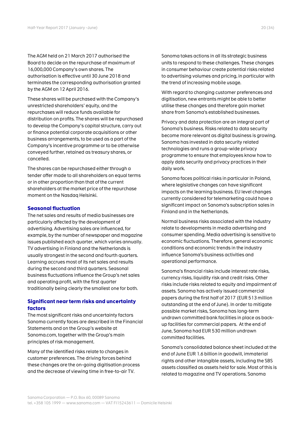The AGM held on 21 March 2017 authorised the Board to decide on the repurchase of maximum of 16,000,000 Company's own shares. The authorisation is effective until 30 June 2018 and terminates the corresponding authorisation granted by the AGM on 12 April 2016.

These shares will be purchased with the Company's unrestricted shareholders' equity, and the repurchases will reduce funds available for distribution on profits. The shares will be repurchased to develop the Company's capital structure, carry out or finance potential corporate acquisitions or other business arrangements, to be used as a part of the Company's incentive programme or to be otherwise conveyed further, retained as treasury shares, or cancelled.

The shares can be repurchased either through a tender offer made to all shareholders on equal terms or in other proportion than that of the current shareholders at the market price of the repurchase moment on the Nasdaq Helsinki.

#### **Seasonal fluctuation**

The net sales and results of media businesses are particularly affected by the development of advertising. Advertising sales are influenced, for example, by the number of newspaper and magazine issues published each quarter, which varies annually. TV advertising in Finland and the Netherlands is usually strongest in the second and fourth quarters. Learning accrues most of its net sales and results during the second and third quarters. Seasonal business fluctuations influence the Group's net sales and operating profit, with the first quarter traditionally being clearly the smallest one for both.

#### **Significant near term risks and uncertainty factors**

The most significant risks and uncertainty factors Sanoma currently faces are described in the Financial Statements and on the Group's website at Sanoma.com, together with the Group's main principles of risk management.

Many of the identified risks relate to changes in customer preferences. The driving forces behind these changes are the on-going digitisation process and the decrease of viewing time in free-to-air TV.

Sanoma takes actions in all its strategic business units to respond to these challenges. These changes in consumer behaviour create potential risks related to advertising volumes and pricing, in particular with the trend of increasing mobile usage.

With regard to changing customer preferences and digitisation, new entrants might be able to better utilise these changes and therefore gain market share from Sanoma's established businesses.

Privacy and data protection are an integral part of Sanoma's business. Risks related to data security become more relevant as digital business is growing. Sanoma has invested in data security related technologies and runs a group-wide privacy programme to ensure that employees know how to apply data security and privacy practices in their daily work.

Sanoma faces political risks in particular in Poland, where legislative changes can have significant impacts on the learning business. EU level changes currently considered for telemarketing could have a significant impact on Sanoma's subscription sales in Finland and in the Netherlands.

Normal business risks associated with the industry relate to developments in media advertising and consumer spending. Media advertising is sensitive to economic fluctuations. Therefore, general economic conditions and economic trends in the industry influence Sanoma's business activities and operational performance.

Sanoma's financial risks include interest rate risks, currency risks, liquidity risk and credit risks. Other risks include risks related to equity and impairment of assets. Sanoma has actively issued commercial papers during the first half of 2017 (EUR 513 million outstanding at the end of June). In order to mitigate possible market risks, Sanoma has long-term undrawn committed bank facilities in place as backup facilities for commercial papers. At the end of June, Sanoma had EUR 530 million undrawn committed facilities.

Sanoma's consolidated balance sheet included at the end of June EUR 1.6 billion in goodwill, immaterial rights and other intangible assets, including the SBS assets classified as assets held for sale. Most of this is related to magazine and TV operations. Sanoma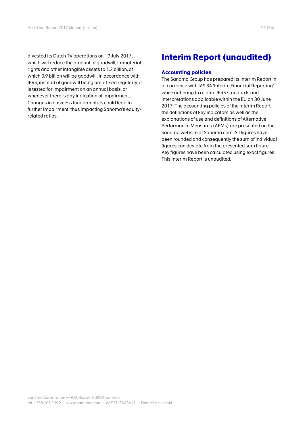divested its Dutch TV operations on 19 July 2017, which will reduce the amount of goodwill, immaterial rights and other intangible assets to 1.2 billion, of which 0.9 billion will be goodwill. In accordance with IFRS, instead of goodwill being amortised regularly, it is tested for impairment on an annual basis, or whenever there is any indication of impairment. Changes in business fundamentals could lead to further impairment, thus impacting Sanoma's equityrelated ratios.

# **Interim Report (unaudited)**

#### **Accounting policies**

The Sanoma Group has prepared its Interim Report in accordance with IAS 34 'Interim Financial Reporting' while adhering to related IFRS standards and interpretations applicable within the EU on 30 June 2017. The accounting policies of the Interim Report, the definitions of key indicators as well as the explanations of use and definitions of Alternative Performance Measures (APMs) are presented on the Sanoma website at Sanoma.com. All figures have been rounded and consequently the sum of individual figures can deviate from the presented sum figure. Key figures have been calculated using exact figures. This Interim Report is unaudited.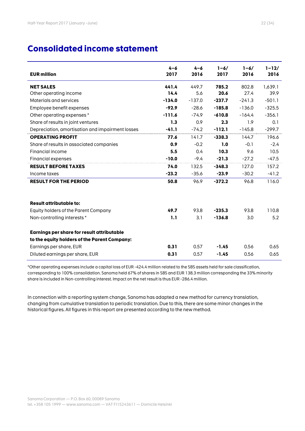# **Consolidated income statement**

| <b>EUR million</b>                               | $4 - 6$<br>2017 | $4 - 6$<br>2016 | $1 - 6/$<br>2017 | $1 - 6/$<br>2016 | $1 - 12/$<br>2016 |
|--------------------------------------------------|-----------------|-----------------|------------------|------------------|-------------------|
| <b>NET SALES</b>                                 | 441.4           | 449.7           | 785.2            | 802.8            | 1,639.1           |
| Other operating income                           | 14.4            | 5.6             | 20.6             | 27.4             | 39.9              |
| Materials and services                           | $-134.0$        | $-137.0$        | $-237.7$         | $-241.3$         | $-501.1$          |
| Employee benefit expenses                        | $-92.9$         | $-28.6$         | $-185.8$         | $-136.0$         | $-325.5$          |
| Other operating expenses*                        | $-111.6$        | $-74.9$         | $-610.8$         | $-164.4$         | $-356.1$          |
| Share of results in joint ventures               | 1.3             | 0.9             | 2.3              | 1.9              | 0.1               |
| Depreciation, amortisation and impairment losses | $-41.1$         | $-74.2$         | $-112.1$         | $-145.8$         | $-299.7$          |
| <b>OPERATING PROFIT</b>                          | 77.6            | 141.7           | $-338.3$         | 144.7            | 196.6             |
| Share of results in associated companies         | 0.9             | $-0.2$          | 1.0              | $-0.1$           | $-2.4$            |
| Financial income                                 | 5.5             | 0.4             | 10.3             | 9.6              | 10.5              |
| Financial expenses                               | $-10.0$         | $-9.4$          | $-21.3$          | $-27.2$          | $-47.5$           |
| <b>RESULT BEFORE TAXES</b>                       | 74.0            | 132.5           | $-348.3$         | 127.0            | 157.2             |
| Income taxes                                     | $-23.2$         | $-35.6$         | $-23.9$          | $-30.2$          | $-41.2$           |
| <b>RESULT FOR THE PERIOD</b>                     | 50.8            | 96.9            | $-372.2$         | 96.8             | 116.0             |
| <b>Result attributable to:</b>                   |                 |                 |                  |                  |                   |
| Equity holders of the Parent Company             | 49.7            | 93.8            | $-235.3$         | 93.8             | 110.8             |
| Non-controlling interests*                       | 1.1             | 3.1             | $-136.8$         | 3.0              | 5.2               |
| Earnings per share for result attributable       |                 |                 |                  |                  |                   |
| to the equity holders of the Parent Company:     |                 |                 |                  |                  |                   |
| Earnings per share, EUR                          | 0.31            | 0.57            | $-1.45$          | 0.56             | 0.65              |
| Diluted earnings per share, EUR                  | 0.31            | 0.57            | $-1.45$          | 0.56             | 0.65              |

\*Other operating expenses include a capital loss of EUR -424.4 million related to the SBS assets held for sale classification, corresponding to 100% consolidation. Sanoma held 67% of shares in SBS and EUR 138.3 million corresponding the 33% minority share is included in Non-controlling interest. Impact on the net result is thus EUR -286.4 million.

In connection with a reporting system change, Sanoma has adapted a new method for currency translation, changing from cumulative translation to periodic translation. Due to this, there are some minor changes in the historical figures. All figures in this report are presented according to the new method.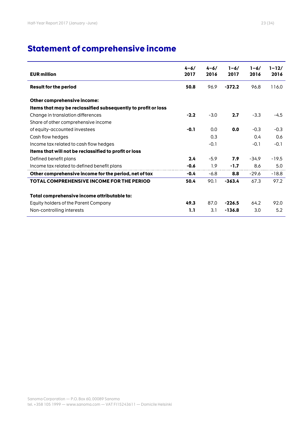# **Statement of comprehensive income**

| <b>EUR million</b>                                            | $4 - 6/$<br>2017 | $4 - 6/$<br>2016 | $1 - 6/$<br>2017 | $1 - 6/$<br>2016 | $1 - 12/$<br>2016 |
|---------------------------------------------------------------|------------------|------------------|------------------|------------------|-------------------|
| <b>Result for the period</b>                                  | 50.8             | 96.9             | $-372.2$         | 96.8             | 116.0             |
| Other comprehensive income:                                   |                  |                  |                  |                  |                   |
| Items that may be reclassified subsequently to profit or loss |                  |                  |                  |                  |                   |
| Change in translation differences                             | $-2.2$           | $-3.0$           | 2.7              | $-3.3$           | $-4.5$            |
| Share of other comprehensive income                           |                  |                  |                  |                  |                   |
| of equity-accounted investees                                 | $-0.1$           | 0.0              | 0.0              | $-0.3$           | $-0.3$            |
| Cash flow hedges                                              |                  | 0.3              |                  | 0.4              | 0.6               |
| Income tax related to cash flow hedges                        |                  | $-0.1$           |                  | $-0.1$           | $-0.1$            |
| Items that will not be reclassified to profit or loss         |                  |                  |                  |                  |                   |
| Defined benefit plans                                         | 2.4              | $-5.9$           | 7.9              | $-34.9$          | $-19.5$           |
| Income tax related to defined benefit plans                   | $-0.6$           | 1.9              | $-1.7$           | 8.6              | 5.0               |
| Other comprehensive income for the period, net of tax         | $-0.4$           | $-6.8$           | 8.8              | $-29.6$          | $-18.8$           |
| TOTAL COMPREHENSIVE INCOME FOR THE PERIOD                     | 50.4             | 90.1             | $-363.4$         | 67.3             | 97.2              |
| Total comprehensive income attributable to:                   |                  |                  |                  |                  |                   |
| Equity holders of the Parent Company                          | 49.3             | 87.0             | $-226.5$         | 64.2             | 92.0              |
| Non-controlling interests                                     | 1.1              | 3.1              | $-136.8$         | 3.0              | 5.2               |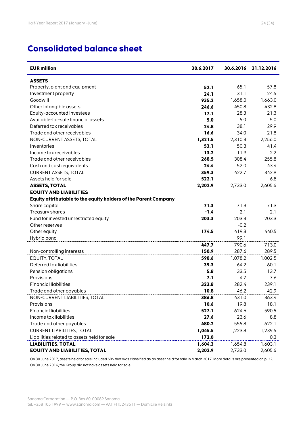| <b>EUR million</b>                                              | 30.6.2017 | 30.6.2016 | 31.12.2016 |
|-----------------------------------------------------------------|-----------|-----------|------------|
| <b>ASSETS</b>                                                   |           |           |            |
| Property, plant and equipment                                   | 52.1      | 65.1      | 57.8       |
| Investment property                                             | 24.1      | 31.1      | 24.5       |
| Goodwill                                                        | 935.2     | 1,658.0   | 1,663.0    |
| Other intangible assets                                         | 246.6     | 450.8     | 432.8      |
| Equity-accounted investees                                      | 17.1      | 28.3      | 21.3       |
| Available-for-sale financial assets                             | 5.0       | 5.0       | 5.0        |
| Deferred tax receivables                                        | 24.8      | 38.1      | 29.9       |
| Trade and other receivables                                     | 16.6      | 34.0      | 21.8       |
| NON-CURRENT ASSETS, TOTAL                                       | 1,321.5   | 2,310.3   | 2,256.0    |
| Inventories                                                     | 53.1      | 50.3      | 41.4       |
| Income tax receivables                                          | 13.2      | 11.9      | 2.2        |
| Trade and other receivables                                     | 268.5     | 308.4     | 255.8      |
| Cash and cash equivalents                                       | 24.4      | 52.0      | 43.4       |
| <b>CURRENT ASSETS, TOTAL</b>                                    | 359.3     | 422.7     | 342.9      |
| Assets held for sale                                            | 522.1     |           | 6.8        |
| <b>ASSETS, TOTAL</b>                                            | 2,202.9   | 2,733.0   | 2,605.6    |
| <b>EQUITY AND LIABILITIES</b>                                   |           |           |            |
| Equity attributable to the equity holders of the Parent Company |           |           |            |
| Share capital                                                   | 71.3      | 71.3      | 71.3       |
| Treasury shares                                                 | $-1.4$    | $-2.1$    | $-2.1$     |
| Fund for invested unrestricted equity                           | 203.3     | 203.3     | 203.3      |
| Other reserves                                                  |           | $-0.2$    |            |
| Other equity                                                    | 174.5     | 419.3     | 440.5      |
| Hybrid bond                                                     |           | 99.1      |            |
|                                                                 | 447.7     | 790.6     | 713.0      |
| Non-controlling interests                                       | 150.9     | 287.6     | 289.5      |
| EQUITY, TOTAL                                                   | 598.6     | 1,078.2   | 1,002.5    |
| Deferred tax liabilities                                        | 39.3      | 64.2      | 60.1       |
| Pension obligations                                             | 5.8       | 33.5      | 13.7       |
| Provisions                                                      | 7.1       | 4.7       | 7.6        |
| <b>Financial liabilities</b>                                    | 323.8     | 282.4     | 239.1      |
| Trade and other payables                                        | 10.8      | 46.2      | 42.9       |
| NON-CURRENT LIABILITIES, TOTAL                                  | 386.8     | 431.0     | 363.4      |
| Provisions                                                      | 10.6      | 19.8      | 18.1       |
| <b>Financial liabilities</b>                                    | 527.1     | 624.6     | 590.5      |
| Income tax liabilities                                          | 27.6      | 23.6      | 8.8        |
| Trade and other payables                                        | 480.2     | 555.8     | 622.1      |
| <b>CURRENT LIABILITIES, TOTAL</b>                               | 1,045.5   | 1,223.8   | 1,239.5    |
| Liabilities related to assets held for sale                     | 172.0     |           | 0.3        |
| <b>LIABILITIES, TOTAL</b>                                       | 1,604.3   | 1,654.8   | 1,603.1    |
| <b>EQUITY AND LIABILITIES, TOTAL</b>                            | 2,202.9   | 2,733.0   | 2,605.6    |

On 30 June 2017, assets held for sale included SBS that was classified as an asset held for sale in March 2017. More details are presented on p. 32. On 30 June 2016, the Group did not have assets held for sale.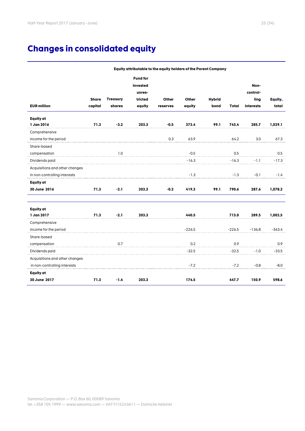# **Changes in consolidated equity**

|                                |              |                 |                 | Equity attributable to the equity holders of the Parent Company |          |               |          |           |          |
|--------------------------------|--------------|-----------------|-----------------|-----------------------------------------------------------------|----------|---------------|----------|-----------|----------|
|                                |              |                 | <b>Fund for</b> |                                                                 |          |               |          |           |          |
|                                |              |                 | invested        |                                                                 |          |               |          | Non-      |          |
|                                |              |                 | unres-          |                                                                 |          |               |          | control-  |          |
|                                | <b>Share</b> | <b>Treasury</b> | tricted         | Other                                                           | Other    | <b>Hybrid</b> |          | ling      | Equity,  |
| <b>EUR million</b>             | capital      | shares          | equity          | reserves                                                        | equity   | bond          | Total    | interests | total    |
| Equity at                      |              |                 |                 |                                                                 |          |               |          |           |          |
| 1 Jan 2016                     | 71.3         | $-3.2$          | 203.3           | $-0.5$                                                          | 373.4    | 99.1          | 743.4    | 285.7     | 1,029.1  |
| Comprehensive                  |              |                 |                 |                                                                 |          |               |          |           |          |
| income for the period          |              |                 |                 | 0.3                                                             | 63.9     |               | 64.2     | 3.0       | 67.3     |
| Share-based                    |              |                 |                 |                                                                 |          |               |          |           |          |
| compensation                   |              | 1.0             |                 |                                                                 | $-0.5$   |               | 0.5      |           | 0.5      |
| Dividends paid                 |              |                 |                 |                                                                 | $-16.3$  |               | $-16.3$  | -1.1      | $-17.3$  |
| Acquisitions and other changes |              |                 |                 |                                                                 |          |               |          |           |          |
| in non-controlling interests   |              |                 |                 |                                                                 | $-1.3$   |               | $-1.3$   | $-0.1$    | $-1.4$   |
| <b>Equity</b> at               |              |                 |                 |                                                                 |          |               |          |           |          |
| 30 June 2016                   | 71.3         | $-2.1$          | 203.3           | $-0.2$                                                          | 419.3    | 99.1          | 790.6    | 287.6     | 1,078.2  |
| Equity at                      |              |                 |                 |                                                                 |          |               |          |           |          |
| 1 Jan 2017                     | 71.3         | $-2.1$          | 203.3           |                                                                 | 440.5    |               | 713.0    | 289.5     | 1,002.5  |
| Comprehensive                  |              |                 |                 |                                                                 |          |               |          |           |          |
| income for the period          |              |                 |                 |                                                                 | $-226.5$ |               | $-226.5$ | $-136.8$  | $-363.4$ |
| Share-based                    |              |                 |                 |                                                                 |          |               |          |           |          |
| compensation                   |              | 0.7             |                 |                                                                 | 0.2      |               | 0.9      |           | 0.9      |
| Dividends paid                 |              |                 |                 |                                                                 | $-32.5$  |               | $-32.5$  | $-1.0$    | $-33.5$  |
| Acquisitions and other changes |              |                 |                 |                                                                 |          |               |          |           |          |
| in non-controlling interests   |              |                 |                 |                                                                 | $-7.2$   |               | $-7.2$   | $-0.8$    | $-8.0$   |
| Equity at                      |              |                 |                 |                                                                 |          |               |          |           |          |
| 30 June 2017                   | 71.3         | $-1.4$          | 203.3           |                                                                 | 174.5    |               | 447.7    | 150.9     | 598.6    |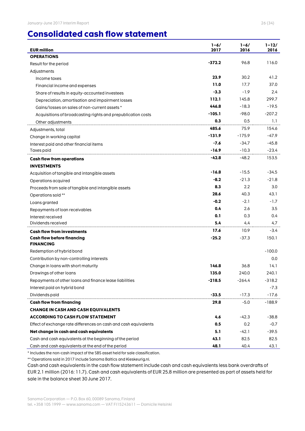# **Consolidated cash flow statement**

| <b>EUR million</b>                                               | $1 - 6/$<br>2017 | $1 - 6/$<br>2016 | $1 - 12/$<br>2016 |
|------------------------------------------------------------------|------------------|------------------|-------------------|
| <b>OPERATIONS</b>                                                |                  |                  |                   |
| Result for the period                                            | -372.2           | 96.8             | 116.0             |
| Adjustments                                                      |                  |                  |                   |
| Income taxes                                                     | 23.9             | 30.2             | 41.2              |
| Financial income and expenses                                    | 11.0             | 17.7             | 37.0              |
| Share of results in equity-accounted investees                   | $-3.3$           | $-1.9$           | 2.4               |
| Depreciation, amortisation and impairment losses                 | 112.1            | 145.8            | 299.7             |
| Gains/losses on sales of non-current assets *                    | 446.8            | $-18.3$          | $-19.5$           |
| Acquisitions of broadcasting rights and prepublication costs     | $-105.1$         | $-98.0$          | $-207.2$          |
| Other adjustments                                                | 0.3              | 0.5              | 1.1               |
| Adjustments, total                                               | 485.6            | 75.9             | 154.6             |
| Change in working capital                                        | $-131.9$         | $-175.9$         | -47.9             |
| Interest paid and other financial items                          | $-7.6$           | $-34.7$          | $-45.8$           |
| Taxes paid                                                       | $-16.9$          | $-10.3$          | $-23.4$           |
| <b>Cash flow from operations</b>                                 | $-42.8$          | $-48.2$          | 153.5             |
| <b>INVESTMENTS</b>                                               |                  |                  |                   |
| Acquisition of tangible and intangible assets                    | $-16.8$          | $-15.5$          | -34.5             |
| Operations acquired                                              | $-8.2$           | $-21.3$          | $-21.8$           |
| Proceeds from sale of tangible and intangible assets             | 8.3              | 2.2              | 3.0               |
| Operations sold **                                               | 28.6             | 40.3             | 43.1              |
| Loans granted                                                    | $-0.2$           | $-2.1$           | -1.7              |
| Repayments of loan receivables                                   | 0.4              | 2.6              | 3.5               |
| Interest received                                                | 0.1              | 0.3              | 0.4               |
| Dividends received                                               | 5.4              | 4.4              | 4.7               |
| <b>Cash flow from investments</b>                                | 17.6             | 10.9             | $-3.4$            |
| <b>Cash flow before financing</b><br><b>FINANCING</b>            | $-25.2$          | $-37.3$          | 150.1             |
| Redemption of hybrid bond                                        |                  |                  | $-100.0$          |
| Contribution by non-controlling interests                        |                  |                  | 0.0               |
| Change in loans with short maturity                              | 146.8            | 36.8             | 14.1              |
| Drawings of other loans                                          | 135.0            | 240.0            | 240.1             |
| Repayments of other loans and finance lease liabilities          | $-218.5$         | $-264.4$         | $-318.2$          |
| Interest paid on hybrid bond                                     |                  |                  | $-7.3$            |
| Dividends paid                                                   | $-33.5$          | $-17.3$          | $-17.6$           |
| <b>Cash flow from financing</b>                                  | 29.8             | $-5.0$           | $-188.9$          |
| <b>CHANGE IN CASH AND CASH EQUIVALENTS</b>                       |                  |                  |                   |
| <b>ACCORDING TO CASH FLOW STATEMENT</b>                          | 4.6              | $-42.3$          | $-38.8$           |
| Effect of exchange rate differences on cash and cash equivalents | 0.5              | 0.2              | $-0.7$            |
| Net change in cash and cash equivalents                          | 5.1              | $-42.1$          | $-39.5$           |
| Cash and cash equivalents at the beginning of the period         | 43.1             | 82.5             | 82.5              |
| Cash and cash equivalents at the end of the period               | 48.1             | 40.4             | 43.1              |

\* Includes the non-cash impact of the SBS asset held for sale classification.

\*\* Operations sold in 2017 include Sanoma Baltics and Kieskeurig.nl.

Cash and cash equivalents in the cash flow statement include cash and cash equivalents less bank overdrafts of EUR 2.1 million (2016: 11.7). Cash and cash equivalents of EUR 25.8 million are presented as part of assets held for sale in the balance sheet 30 June 2017.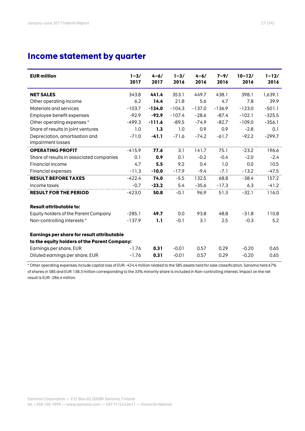# **Income statement by quarter**

| <b>EUR million</b>                                  | $1 - 3/$<br>2017 | $4 - 6/$<br>2017 | $1 - 3/$<br>2016 | $4 - 6/$<br>2016 | $7 - 9/$<br>2016 | $10 - 12/$<br>2016 | $1 - 12/$<br>2016 |
|-----------------------------------------------------|------------------|------------------|------------------|------------------|------------------|--------------------|-------------------|
| <b>NET SALES</b>                                    | 343.8            | 441.4            | 353.1            | 449.7            | 438.1            | 398.1              | 1,639.1           |
| Other operating income                              | 6.2              | 14.4             | 21.8             | 5.6              | 4.7              | 7.8                | 39.9              |
| Materials and services                              | $-103.7$         | $-134.0$         | $-104.3$         | $-137.0$         | $-136.9$         | $-123.0$           | $-501.1$          |
| Employee benefit expenses                           | $-92.9$          | $-92.9$          | $-107.4$         | $-28.6$          | $-87.4$          | $-102.1$           | $-325.5$          |
| Other operating expenses*                           | $-499.3$         | $-111.6$         | $-89.5$          | $-74.9$          | $-82.7$          | $-109.0$           | $-356.1$          |
| Share of results in joint ventures                  | 1.0              | 1.3              | 1.0              | 0.9              | 0.9              | $-2.8$             | 0.1               |
| Depreciation, amortisation and<br>impairment losses | $-71.0$          | $-41.1$          | $-71.6$          | $-74.2$          | $-61.7$          | $-92.2$            | $-299.7$          |
| <b>OPERATING PROFIT</b>                             | $-415.9$         | 77.6             | 3.1              | 141.7            | 75.1             | $-23.2$            | 196.6             |
| Share of results in associated companies            | 0.1              | 0.9              | 0.1              | $-0.2$           | $-0.4$           | $-2.0$             | $-2.4$            |
| Financial income                                    | 4.7              | 5.5              | 9.2              | 0.4              | 1.0              | 0.0                | 10.5              |
| Financial expenses                                  | $-11.3$          | $-10.0$          | $-17.9$          | $-9.4$           | $-7.1$           | $-13.2$            | $-47.5$           |
| <b>RESULT BEFORE TAXES</b>                          | $-422.4$         | 74.0             | $-5.5$           | 132.5            | 68.8             | $-38.4$            | 157.2             |
| Income taxes                                        | $-0.7$           | $-23.2$          | 5.4              | $-35.6$          | $-17.3$          | 6.3                | $-41.2$           |
| <b>RESULT FOR THE PERIOD</b>                        | $-423.0$         | 50.8             | $-0.1$           | 96.9             | 51.3             | $-32.1$            | 116.0             |
| <b>Result attributable to:</b>                      |                  |                  |                  |                  |                  |                    |                   |
| Equity holders of the Parent Company                | $-285.1$         | 49.7             | 0.0              | 93.8             | 48.8             | $-31.8$            | 110.8             |
| Non-controlling interests*                          | $-137.9$         | 1.1              | $-0.1$           | 3.1              | 2.5              | $-0.3$             | 5.2               |
| Earnings per share for result attributable          |                  |                  |                  |                  |                  |                    |                   |
| to the equity holders of the Parent Company:        |                  |                  |                  |                  |                  |                    |                   |
| Earnings per share, EUR                             | $-1.76$          | 0.31             | $-0.01$          | 0.57             | 0.29             | $-0.20$            | 0.65              |
| Diluted earnings per share, EUR                     | $-1.76$          | 0.31             | $-0.01$          | 0.57             | 0.29             | $-0.20$            | 0.65              |

\* Other operating expenses include capital loss of EUR -424.4 million related to the SBS assets held for sale classification. Sanoma held 67% of shares in SBS and EUR 138.3 million corresponding to the 33% minority share is included in Non-controlling interest. Impact on the net result is EUR -286.4 million.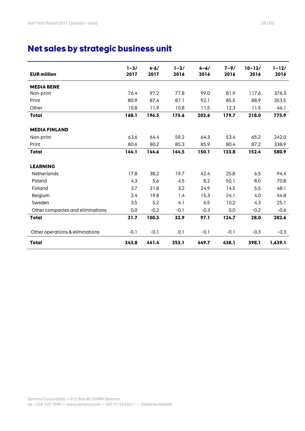# **Net sales by strategic business unit**

| <b>EUR million</b>               | $1 - 3/$<br>2017 | $4 - 6/$<br>2017 | $1 - 3/$<br>2016 | $4 - 6/$<br>2016 | $7 - 9/$<br>2016 | $10 - 12/$<br>2016 | $1 - 12/$<br>2016 |
|----------------------------------|------------------|------------------|------------------|------------------|------------------|--------------------|-------------------|
| <b>MEDIA BENE</b>                |                  |                  |                  |                  |                  |                    |                   |
| Non-print                        | 76.4             | 97.2             | 77.8             | 99.0             | 81.9             | 117.6              | 376.3             |
| Print                            | 80.9             | 87.4             | 87.1             | 92.1             | 85.5             | 88.9               | 353.5             |
| Other                            | 10.8             | 11.9             | 10.8             | 11.5             | 12.3             | 11.5               | 46.1              |
| <b>Total</b>                     | 168.1            | 196.5            | 175.6            | 202.6            | 179.7            | 218.0              | 775.9             |
| <b>MEDIA FINLAND</b>             |                  |                  |                  |                  |                  |                    |                   |
| Non-print                        | 63.6             | 64.4             | 59.2             | 64.3             | 53.4             | 65.2               | 242.0             |
| Print                            | 80.6             | 80.2             | 85.3             | 85.9             | 80.4             | 87.2               | 338.9             |
| <b>Total</b>                     | 144.1            | 144.6            | 144.5            | 150.1            | 133.8            | 152.4              | 580.9             |
| <b>LEARNING</b>                  |                  |                  |                  |                  |                  |                    |                   |
| Netherlands                      | 17.8             | 38.2             | 19.7             | 42.4             | 25.8             | 6.5                | 94.4              |
| Poland                           | 4.3              | 5.6              | 4.5              | 8.2              | 50.1             | 8.0                | 70.8              |
| Finland                          | 3.7              | 31.8             | 3.2              | 24.9             | 14.5             | 5.5                | 48.1              |
| Belgium                          | 2.4              | 19.8             | 1.4              | 15.3             | 24.1             | 4.0                | 44.8              |
| Sweden                           | 3.5              | 5.2              | 4.1              | 6.5              | 10.2             | 4.3                | 25.1              |
| Other companies and eliminations | 0.0              | $-0.2$           | $-0.1$           | $-0.3$           | 0.0              | $-0.2$             | $-0.6$            |
| <b>Total</b>                     | 31.7             | 100.3            | 32.9             | 97.1             | 124.7            | 28.0               | 282.6             |
| Other operations & eliminations  | $-0.1$           | $-0.1$           | 0.1              | $-0.1$           | $-0.1$           | $-0.3$             | $-0.3$            |
| <b>Total</b>                     | 343.8            | 441.4            | 353.1            | 449.7            | 438.1            | 398.1              | 1,639.1           |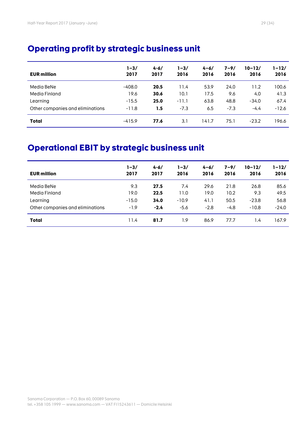| <b>EUR million</b>               | $1 - 3/$<br>2017 | $4 - 6/$<br>2017 | $1 - 3/$<br>2016 | $4 - 6/$<br>2016 | $7 - 9/$<br>2016 | $10 - 12/$<br>2016 | 1–12/<br>2016 |
|----------------------------------|------------------|------------------|------------------|------------------|------------------|--------------------|---------------|
| Media BeNe                       | $-408.0$         | 20.5             | 11.4             | 53.9             | 24.0             | 11.2               | 100.6         |
| Media Finland                    | 19.6             | 30.6             | 10.1             | 17.5             | 9.6              | 4.0                | 41.3          |
| Learning                         | $-15.5$          | 25.0             | $-11.1$          | 63.8             | 48.8             | $-34.0$            | 67.4          |
| Other companies and eliminations | $-11.8$          | 1.5              | $-7.3$           | 6.5              | $-7.3$           | $-4.4$             | $-12.6$       |
| <b>Total</b>                     | $-415.9$         | 77.6             | 3.1              | 141.7            | 75.1             | $-23.2$            | 196.6         |

# **Operational EBIT by strategic business unit**

| <b>EUR million</b>               | $1 - 3/$<br>2017 | $4 - 6/$<br>2017 | $1 - 3/$<br>2016 | $4 - 6/$<br>2016 | $7 - 9/$<br>2016 | $10 - 12/$<br>2016 | $1 - 12/$<br>2016 |
|----------------------------------|------------------|------------------|------------------|------------------|------------------|--------------------|-------------------|
| Media BeNe                       | 9.3              | 27.5             | 7.4              | 29.6             | 21.8             | 26.8               | 85.6              |
| Media Finland                    | 19.0             | 22.5             | 11.0             | 19.0             | 10.2             | 9.3                | 49.5              |
| Learning                         | $-15.0$          | 34.0             | $-10.9$          | 41.1             | 50.5             | $-23.8$            | 56.8              |
| Other companies and eliminations | $-1.9$           | $-2.4$           | $-5.6$           | $-2.8$           | $-4.8$           | $-10.8$            | $-24.0$           |
| <b>Total</b>                     | 11.4             | 81.7             | ۱.9              | 86.9             | 77.7             | 1.4                | 167.9             |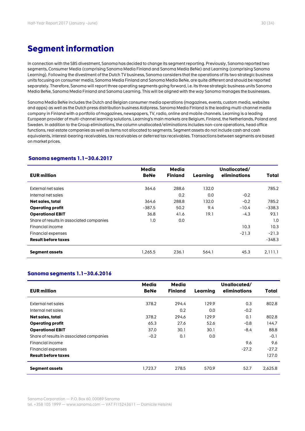# **Segment information**

In connection with the SBS divestment, Sanoma has decided to change its segment reporting. Previously, Sanoma reported two segments, Consumer Media (comprising Sanoma Media Finland and Sanoma Media BeNe) and Learning (comprising Sanoma Learning). Following the divestment of the Dutch TV business, Sanoma considers that the operations of its two strategic business units focusing on consumer media, Sanoma Media Finland and Sanoma Media BeNe, are quite different and should be reported separately. Therefore, Sanoma will report three operating segments going forward, i.e. its three strategic business units Sanoma Media BeNe, Sanoma Media Finland and Sanoma Learning. This will be aligned with the way Sanoma manages the businesses.

Sanoma Media BeNe includes the Dutch and Belgian consumer media operations (magazines, events, custom media, websites and apps) as well as the Dutch press distribution business Aldipress. Sanoma Media Finland is the leading multi-channel media company in Finland with a portfolio of magazines, newspapers, TV, radio, online and mobile channels. Learning is a leading European provider of multi-channel learning solutions. Learning's main markets are Belgium, Finland, the Netherlands, Poland and Sweden. In addition to the Group eliminations, the column unallocated/eliminations includes non-core operations, head office functions, real estate companies as well as items not allocated to segments. Segment assets do not include cash and cash equivalents, interest-bearing receivables, tax receivables or deferred tax receivables. Transactions between segments are based on market prices.

#### **Sanoma segments 1.1–30.6.2017**

| <b>EUR million</b>                       | <b>Media</b><br><b>BeNe</b> | Media<br><b>Finland</b> | Learning | Unallocated/<br>eliminations | Total    |
|------------------------------------------|-----------------------------|-------------------------|----------|------------------------------|----------|
| External net sales                       | 364.6                       | 288.6                   | 132.0    |                              | 785.2    |
| Internal net sales                       |                             | 0.2                     | 0.0      | $-0.2$                       |          |
| Net sales, total                         | 364.6                       | 288.8                   | 132.0    | $-0.2$                       | 785.2    |
| <b>Operating profit</b>                  | $-387.5$                    | 50.2                    | 9.4      | $-10.4$                      | $-338.3$ |
| <b>Operational EBIT</b>                  | 36.8                        | 41.6                    | 19.1     | $-4.3$                       | 93.1     |
| Share of results in associated companies | 1.0                         | 0.0                     |          |                              | 1.0      |
| Financial income                         |                             |                         |          | 10.3                         | 10.3     |
| Financial expenses                       |                             |                         |          | $-21.3$                      | $-21.3$  |
| <b>Result before taxes</b>               |                             |                         |          |                              | $-348.3$ |
| Segment assets                           | 1,265.5                     | 236.1                   | 564.1    | 45.3                         | 2,111.1  |

#### **Sanoma segments 1.1–30.6.2016**

| <b>EUR million</b>                       | <b>Media</b><br><b>BeNe</b> | <b>Media</b><br><b>Finland</b> | Learnina | Unallocated/<br>eliminations | <b>Total</b> |
|------------------------------------------|-----------------------------|--------------------------------|----------|------------------------------|--------------|
| External net sales                       | 378.2                       | 294.4                          | 129.9    | 0.3                          | 802.8        |
| Internal net sales                       |                             | 0.2                            | 0.0      | $-0.2$                       |              |
| Net sales, total                         | 378.2                       | 294.6                          | 129.9    | 0.1                          | 802.8        |
| <b>Operating profit</b>                  | 65.3                        | 27.6                           | 52.6     | $-0.8$                       | 144.7        |
| <b>Operational EBIT</b>                  | 37.0                        | 30.1                           | 30.1     | $-8.4$                       | 88.8         |
| Share of results in associated companies | $-0.2$                      | 0.1                            | 0.0      |                              | $-0.1$       |
| Financial income                         |                             |                                |          | 9.6                          | 9.6          |
| Financial expenses                       |                             |                                |          | $-27.2$                      | $-27.2$      |
| <b>Result before taxes</b>               |                             |                                |          |                              | 127.0        |
| <b>Segment assets</b>                    | 1.723.7                     | 278.5                          | 570.9    | 52.7                         | 2.625.8      |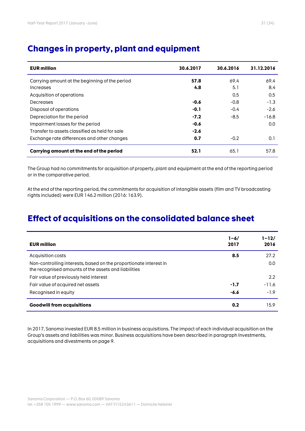| <b>EUR million</b>                             | 30.6.2017 | 30.6.2016 | 31.12.2016 |
|------------------------------------------------|-----------|-----------|------------|
| Carrying amount at the beginning of the period | 57.8      | 69.4      | 69.4       |
| Increases                                      | 4.8       | 5.1       | 8.4        |
| Acquisition of operations                      |           | 0.5       | 0.5        |
| Decreases                                      | $-0.6$    | $-0.8$    | $-1.3$     |
| Disposal of operations                         | $-0.1$    | $-0.4$    | $-2.6$     |
| Depreciation for the period                    | $-7.2$    | $-8.5$    | $-16.8$    |
| Impairment losses for the period               | $-0.6$    |           | 0.0        |
| Transfer to assets classified as held for sale | $-2.6$    |           |            |
| Exchange rate differences and other changes    | 0.7       | $-0.2$    | 0.1        |
| Carrying amount at the end of the period       | 52.1      | 65.1      | 57.8       |

# **Changes in property, plant and equipment**

The Group had no commitments for acquisition of property, plant and equipment at the end of the reporting period or in the comparative period.

At the end of the reporting period, the commitments for acquisition of intangible assets (film and TV broadcasting rights included) were EUR 146.2 million (2016: 163.9).

# **Effect of acquisitions on the consolidated balance sheet**

| <b>EUR million</b>                                                                                                        | $1 - 6/$<br>2017 | $1 - 12/$<br>2016 |
|---------------------------------------------------------------------------------------------------------------------------|------------------|-------------------|
| Acquisition costs                                                                                                         | 8.5              | 27.2              |
| Non-controlling interests, based on the proportionate interest in<br>the recognised amounts of the assets and liabilities |                  | 0.0               |
| Fair value of previously held interest                                                                                    |                  | 2.2               |
| Fair value of acquired net assets                                                                                         | $-1.7$           | $-11.6$           |
| Recognised in equity                                                                                                      | $-6.6$           | $-1.9$            |
| <b>Goodwill from acquisitions</b>                                                                                         | 0.2              | 15.9              |

In 2017, Sanoma invested EUR 8.5 million in business acquisitions. The impact of each individual acquisition on the Group's assets and liabilities was minor. Business acquisitions have been described in paragraph Investments, acquisitions and divestments on page 9.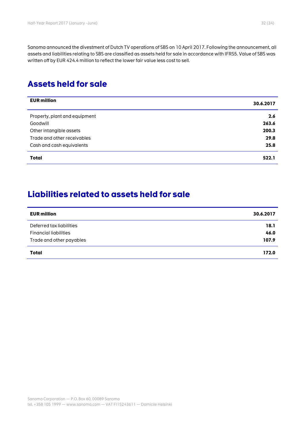Sanoma announced the divestment of Dutch TV operations of SBS on 10 April 2017. Following the announcement, all assets and liabilities relating to SBS are classified as assets held for sale in accordance with IFRS5. Value of SBS was written off by EUR 424.4 million to reflect the lower fair value less cost to sell.

# **Assets held for sale**

| <b>EUR million</b>            | 30.6.2017 |
|-------------------------------|-----------|
| Property, plant and equipment | 2.6       |
| Goodwill                      | 263.6     |
| Other intangible assets       | 200.3     |
| Trade and other receivables   | 29.8      |
| Cash and cash equivalents     | 25.8      |
| <b>Total</b>                  | 522.1     |

# **Liabilities related to assets held for sale**

| <b>EUR million</b>           | 30.6.2017 |
|------------------------------|-----------|
| Deferred tax liabilities     | 18.1      |
| <b>Financial liabilities</b> | 46.0      |
| Trade and other payables     | 107.9     |
| Total                        | 172.0     |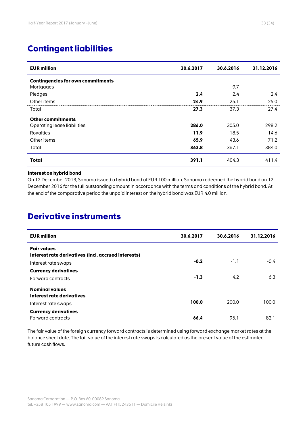# **Contingent liabilities**

| <b>EUR million</b>                       | 30.6.2017 | 30.6.2016 | 31.12.2016 |
|------------------------------------------|-----------|-----------|------------|
| <b>Contingencies for own commitments</b> |           |           |            |
| Mortgages                                |           | 9.7       |            |
| Pledges                                  | 2.4       | 2.4       | 2.4        |
| Other items                              | 24.9      | 25.1      | 25.0       |
| Total                                    | 27.3      | 37.3      | 27.4       |
| <b>Other commitments</b>                 |           |           |            |
| Operating lease liabilities              | 286.0     | 305.0     | 298.2      |
| Royalties                                | 11.9      | 18.5      | 14.6       |
| Other items                              | 65.9      | 43.6      | 71.2       |
| Total                                    | 363.8     | 367.1     | 384.0      |
| <b>Total</b>                             | 391.1     | 404.3     | 411.4      |

#### **Interest on hybrid bond**

On 12 December 2013, Sanoma issued a hybrid bond of EUR 100 million. Sanoma redeemed the hybrid bond on 12 December 2016 for the full outstanding amount in accordance with the terms and conditions of the hybrid bond. At the end of the comparative period the unpaid interest on the hybrid bond was EUR 4.0 million.

# **Derivative instruments**

| <b>EUR million</b>                                                        | 30.6.2017 | 30.6.2016 | 31.12.2016 |
|---------------------------------------------------------------------------|-----------|-----------|------------|
| <b>Fair values</b><br>Interest rate derivatives (incl. accrued interests) |           |           |            |
| Interest rate swaps                                                       | $-0.2$    | $-1.1$    | $-0.4$     |
| <b>Currency derivatives</b>                                               |           |           |            |
| Forward contracts                                                         | $-1.3$    | 4.2       | 6.3        |
| <b>Nominal values</b><br><b>Interest rate derivatives</b>                 |           |           |            |
| Interest rate swaps                                                       | 100.0     | 200.0     | 100.0      |
| <b>Currency derivatives</b><br>Forward contracts                          | 66.4      | 95.1      | 82.1       |

The fair value of the foreign currency forward contracts is determined using forward exchange market rates at the balance sheet date. The fair value of the interest rate swaps is calculated as the present value of the estimated future cash flows.